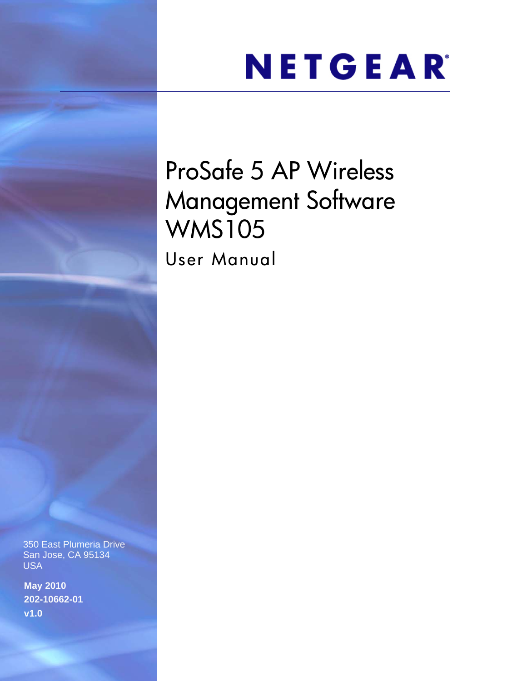## NETGEAR®

## ProSafe 5 AP Wireless Management Software WMS105

User Manual

350 East Plumeria Drive San Jose, CA 95134 USA

**May 2010 202-10662-01 v1.0**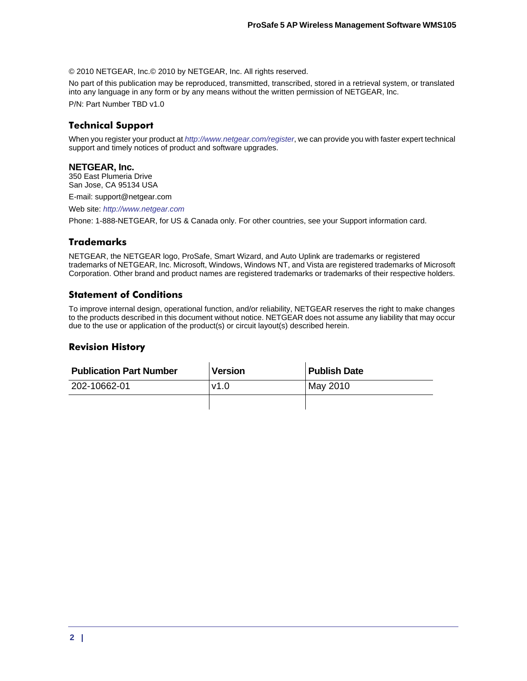© 2010 NETGEAR, Inc.© 2010 by NETGEAR, Inc. All rights reserved.

No part of this publication may be reproduced, transmitted, transcribed, stored in a retrieval system, or translated into any language in any form or by any means without the written permission of NETGEAR, Inc.

P/N: Part Number TBD v1.0

### **Technical Support**

When you register your product at *<http://www.netgear.com/register>*, we can provide you with faster expert technical support and timely notices of product and software upgrades.

### **NETGEAR, Inc.**

350 East Plumeria Drive San Jose, CA 95134 USA

E-mail: support@netgear.com

Web site: *<http://www.netgear.com>*

Phone: 1-888-NETGEAR, for US & Canada only. For other countries, see your Support information card.

### **Trademarks**

NETGEAR, the NETGEAR logo, ProSafe, Smart Wizard, and Auto Uplink are trademarks or registered trademarks of NETGEAR, Inc. Microsoft, Windows, Windows NT, and Vista are registered trademarks of Microsoft Corporation. Other brand and product names are registered trademarks or trademarks of their respective holders.

### **Statement of Conditions**

To improve internal design, operational function, and/or reliability, NETGEAR reserves the right to make changes to the products described in this document without notice. NETGEAR does not assume any liability that may occur due to the use or application of the product(s) or circuit layout(s) described herein.

### **Revision History**

| <b>Publication Part Number</b> | <b>Version</b> | <b>Publish Date</b> |  |
|--------------------------------|----------------|---------------------|--|
| 202-10662-01                   | v1.0           | May 2010            |  |
|                                |                |                     |  |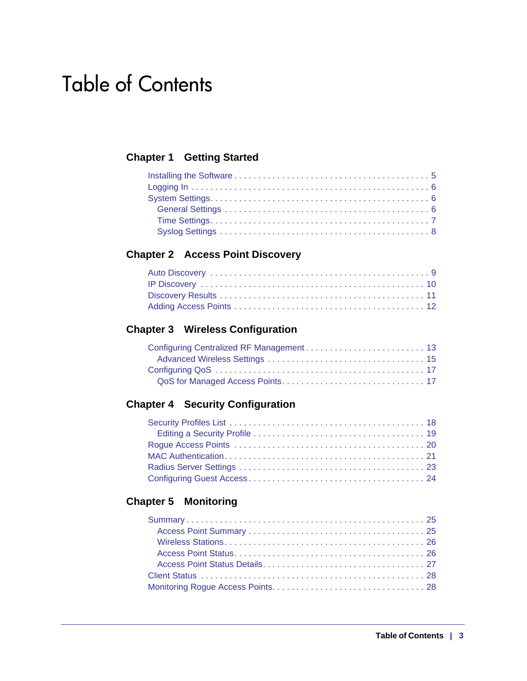### Table of Contents

### **[Chapter 1 Getting Started](#page-4-0)**

### **[Chapter 2 Access Point Discovery](#page-8-0)**

### **[Chapter 3 Wireless Configuration](#page-12-0)**

### **[Chapter 4 Security Configuration](#page-17-0)**

### **[Chapter 5 Monitoring](#page-24-0)**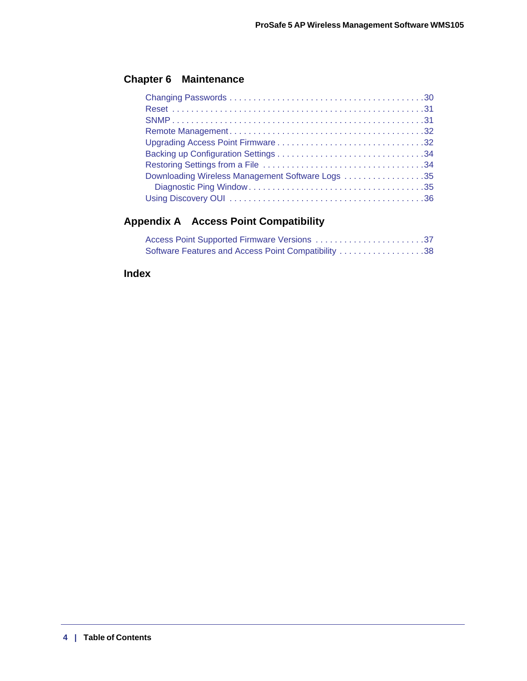### **[Chapter 6 Maintenance](#page-29-0)**

| Downloading Wireless Management Software Logs 35 |
|--------------------------------------------------|
|                                                  |
|                                                  |

### **[Appendix A Access Point Compatibility](#page-36-0)**

| Access Point Supported Firmware Versions 37         |  |
|-----------------------------------------------------|--|
| Software Features and Access Point Compatibility 38 |  |

### **[Index](#page-38-0)**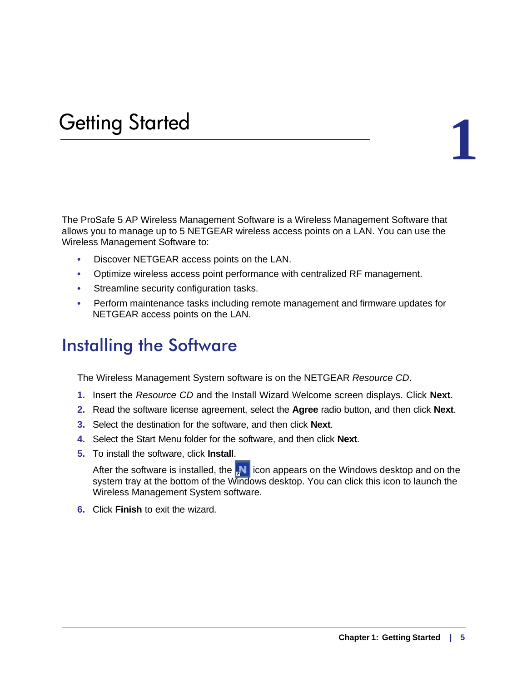# <span id="page-4-0"></span>1. Getting Started **1**

### The ProSafe 5 AP Wireless Management Software is a Wireless Management Software that allows you to manage up to 5 NETGEAR wireless access points on a LAN. You can use the Wireless Management Software to:

- Discover NETGEAR access points on the LAN.
- Optimize wireless access point performance with centralized RF management.
- Streamline security configuration tasks.
- Perform maintenance tasks including remote management and firmware updates for NETGEAR access points on the LAN.

### <span id="page-4-1"></span>Installing the Software

The Wireless Management System software is on the NETGEAR *Resource CD*.

- **1.** Insert the *Resource CD* and the Install Wizard Welcome screen displays. Click **Next**.
- **2.** Read the software license agreement, select the **Agree** radio button, and then click **Next**.
- **3.** Select the destination for the software, and then click **Next**.
- **4.** Select the Start Menu folder for the software, and then click **Next**.
- **5.** To install the software, click **Install**.

After the software is installed, the  $\mathbf{N}$  icon appears on the Windows desktop and on the system tray at the bottom of the Windows desktop. You can click this icon to launch the Wireless Management System software.

**6.** Click **Finish** to exit the wizard.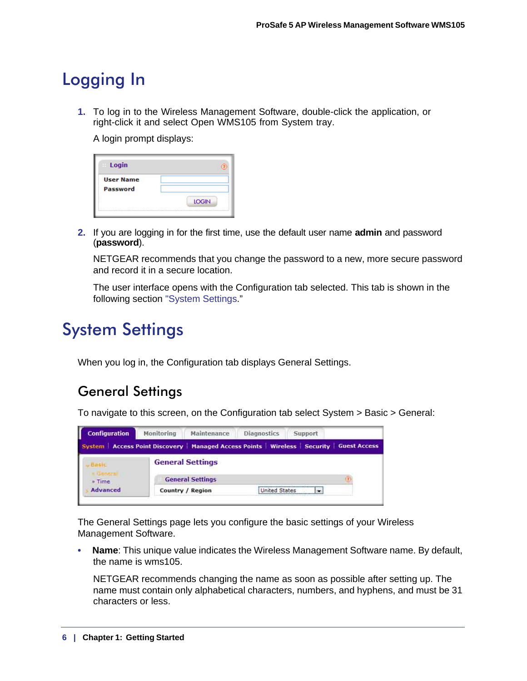### <span id="page-5-0"></span>Logging In

<span id="page-5-4"></span>**1.** To log in to the Wireless Management Software, double-click the application, or right-click it and select Open WMS105 from System tray.

A login prompt displays:

| Login<br>×       |              |
|------------------|--------------|
| <b>User Name</b> |              |
| <b>Password</b>  |              |
|                  | <b>LOGIN</b> |

**2.** If you are logging in for the first time, use the default user name **admin** and password (**password**).

<span id="page-5-5"></span>NETGEAR recommends that you change the password to a new, more secure password and record it in a secure location.

The user interface opens with the Configuration tab selected. This tab is shown in the following section ["System Settings](#page-5-1)."

### <span id="page-5-1"></span>System Settings

When you log in, the Configuration tab displays General Settings.

### <span id="page-5-2"></span>General Settings

<span id="page-5-3"></span>To navigate to this screen, on the Configuration tab select System > Basic > General:

| Monitoring | Maintenance | <b>Diagnostics</b>                                                     | <b>Support</b> |                                                                                              |
|------------|-------------|------------------------------------------------------------------------|----------------|----------------------------------------------------------------------------------------------|
|            |             |                                                                        |                |                                                                                              |
|            |             |                                                                        |                |                                                                                              |
|            |             |                                                                        |                |                                                                                              |
|            |             |                                                                        |                |                                                                                              |
|            |             | <b>General Settings</b><br><b>General Settings</b><br>Country / Region |                | System   Access Point Discovery   Managed Access Points   Wireless   Security   Guest Access |

The General Settings page lets you configure the basic settings of your Wireless Management Software.

**• Name**: This unique value indicates the Wireless Management Software name. By default, the name is wms105.

NETGEAR recommends changing the name as soon as possible after setting up. The name must contain only alphabetical characters, numbers, and hyphens, and must be 31 characters or less.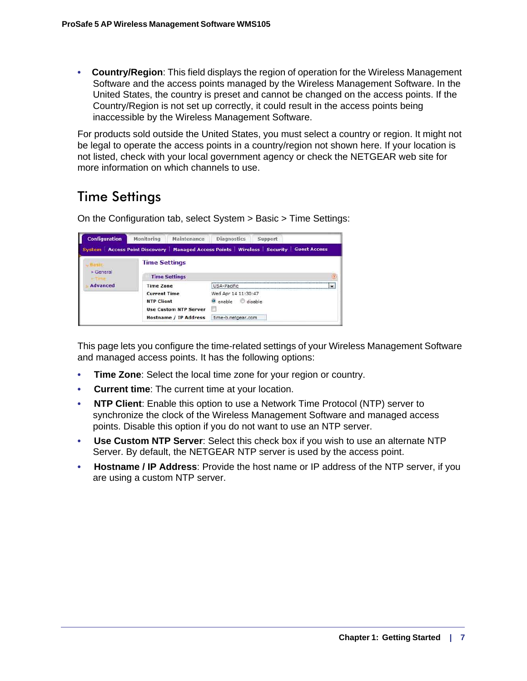**• Country/Region**: This field displays the region of operation for the Wireless Management Software and the access points managed by the Wireless Management Software. In the United States, the country is preset and cannot be changed on the access points. If the Country/Region is not set up correctly, it could result in the access points being inaccessible by the Wireless Management Software.

For products sold outside the United States, you must select a country or region. It might not be legal to operate the access points in a country/region not shown here. If your location is not listed, check with your local government agency or check the NETGEAR web site for more information on which channels to use.

### <span id="page-6-0"></span>Time Settings

<span id="page-6-1"></span>On the Configuration tab, select System > Basic > Time Settings:

| <b>Configuration</b> | Maintenance<br><b>Monitoring</b> | <b>Diagnostics</b>  | Support                                                                                      |  |  |
|----------------------|----------------------------------|---------------------|----------------------------------------------------------------------------------------------|--|--|
|                      |                                  |                     | System   Access Point Discovery   Managed Access Points   Wireless   Security   Guest Access |  |  |
| » General            | <b>Time Settings</b>             |                     |                                                                                              |  |  |
| <b>Time Settings</b> |                                  |                     |                                                                                              |  |  |
| <b>Advanced</b>      | <b>Time Zone</b>                 | USA-Pacific         |                                                                                              |  |  |
|                      | <b>Current Time</b>              | Wed Apr 14 11:30:47 |                                                                                              |  |  |
|                      | <b>NTP Client</b>                | enable disable      |                                                                                              |  |  |
|                      | <b>Use Custom NTP Server</b>     |                     |                                                                                              |  |  |
|                      | <b>Hostname / IP Address</b>     | time-b.netgear.com  |                                                                                              |  |  |

This page lets you configure the time-related settings of your Wireless Management Software and managed access points. It has the following options:

- **Time Zone:** Select the local time zone for your region or country.
- **Current time**: The current time at your location.
- **NTP Client**: Enable this option to use a Network Time Protocol (NTP) server to synchronize the clock of the Wireless Management Software and managed access points. Disable this option if you do not want to use an NTP server.
- **Use Custom NTP Server**: Select this check box if you wish to use an alternate NTP Server. By default, the NETGEAR NTP server is used by the access point.
- **Hostname / IP Address**: Provide the host name or IP address of the NTP server, if you are using a custom NTP server.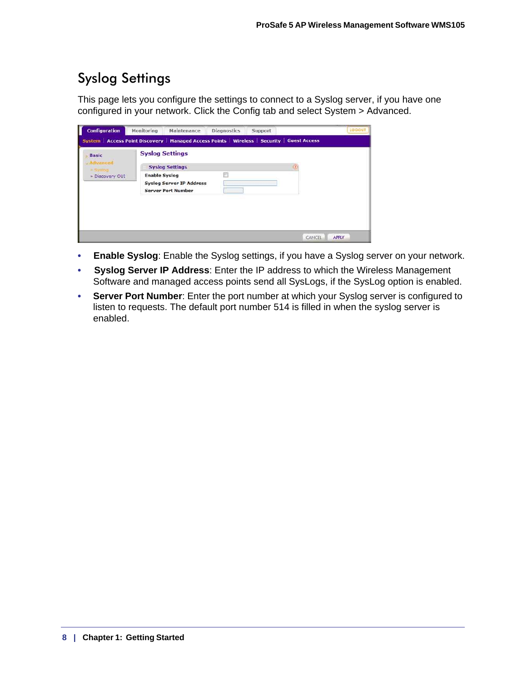### <span id="page-7-0"></span>Syslog Settings

<span id="page-7-1"></span>This page lets you configure the settings to connect to a Syslog server, if you have one configured in your network. Click the Config tab and select System > Advanced.

| <b>Configuration</b>                | Monitoring           | Maintenance                                                                                  | <b>Diagnostics</b> | Support |        | LOGOUT       |
|-------------------------------------|----------------------|----------------------------------------------------------------------------------------------|--------------------|---------|--------|--------------|
|                                     |                      | System   Access Point Discovery   Managed Access Points   Wireless   Security   Guest Access |                    |         |        |              |
| <b>Basic</b>                        |                      | <b>Syslog Settings</b>                                                                       |                    |         |        |              |
| Advanced<br>$\triangleright$ Syzion |                      | <b>Syslog Settings</b>                                                                       |                    |         | ⑨      |              |
| Discovery OUI                       | <b>Enable Syslog</b> |                                                                                              |                    |         |        |              |
|                                     |                      | <b>Syslog Server IP Address</b>                                                              |                    |         |        |              |
|                                     |                      | <b>Server Port Number</b>                                                                    |                    |         |        |              |
|                                     |                      |                                                                                              |                    |         |        |              |
|                                     |                      |                                                                                              |                    |         |        |              |
|                                     |                      |                                                                                              |                    |         |        |              |
|                                     |                      |                                                                                              |                    |         |        |              |
|                                     |                      |                                                                                              |                    |         | CANCEL | <b>APPLY</b> |

- **Enable Syslog**: Enable the Syslog settings, if you have a Syslog server on your network.
- **Syslog Server IP Address**: Enter the IP address to which the Wireless Management Software and managed access points send all SysLogs, if the SysLog option is enabled.
- **Server Port Number**: Enter the port number at which your Syslog server is configured to listen to requests. The default port number 514 is filled in when the syslog server is enabled.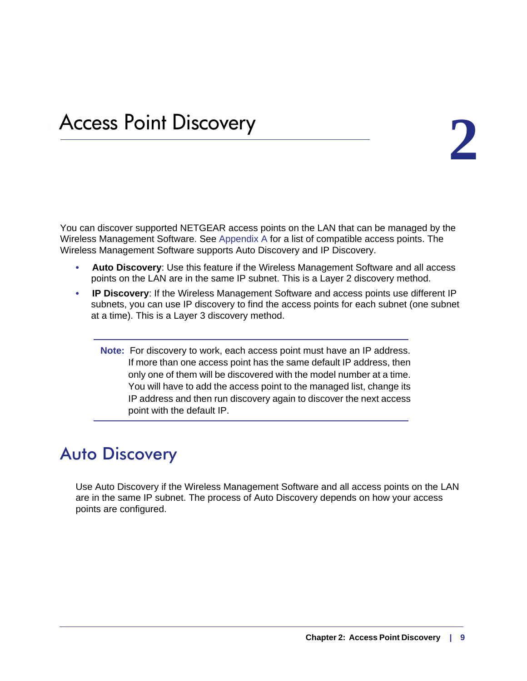## <span id="page-8-0"></span>Access Point Discovery **2**

You can discover supported NETGEAR access points on the LAN that can be managed by the Wireless Management Software. See [Appendix A](#page-36-2) for a list of compatible access points. The Wireless Management Software supports Auto Discovery and IP Discovery.

- <span id="page-8-2"></span>**• Auto Discovery**: Use this feature if the Wireless Management Software and all access points on the LAN are in the same IP subnet. This is a Layer 2 discovery method.
- **IP Discovery**: If the Wireless Management Software and access points use different IP subnets, you can use IP discovery to find the access points for each subnet (one subnet at a time). This is a Layer 3 discovery method.
	- **Note:** For discovery to work, each access point must have an IP address. If more than one access point has the same default IP address, then only one of them will be discovered with the model number at a time. You will have to add the access point to the managed list, change its IP address and then run discovery again to discover the next access point with the default IP.

### <span id="page-8-1"></span>Auto Discovery

<span id="page-8-3"></span>Use Auto Discovery if the Wireless Management Software and all access points on the LAN are in the same IP subnet. The process of Auto Discovery depends on how your access points are configured.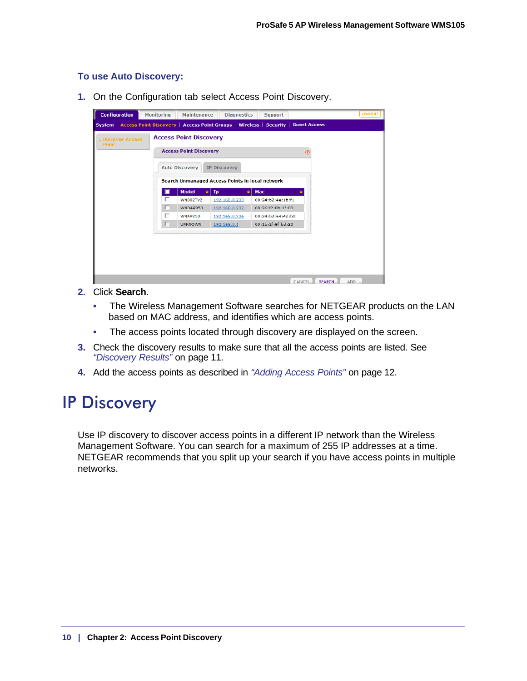### **To use Auto Discovery:**

**1.** On the Configuration tab select Access Point Discovery.

| <b>Discover Access</b><br>Point |   | <b>Access Point Discovery</b><br><b>Access Point Discovery</b><br><b>Auto Discovery</b> | <b>IP Discovery</b>                                               |                   | $\overline{a}$ |  |
|---------------------------------|---|-----------------------------------------------------------------------------------------|-------------------------------------------------------------------|-------------------|----------------|--|
|                                 |   | <b>Model</b><br>è۱                                                                      | <b>Search Unmanaged Access Points in local network</b><br>Ip<br>٠ | Mac               |                |  |
|                                 | г | <b>WN802Tv2</b>                                                                         | 192.168.0.233                                                     | 00:24:b2:4e:1b:f1 |                |  |
|                                 | г | WNDAP350                                                                                | 192.168.0.237                                                     | 00:26:f2:8b:1f:00 |                |  |
|                                 | г | WNAP210                                                                                 | 192.168.0.236                                                     | 00:24:b2:64:4d:b0 |                |  |
|                                 | г | <b>UNKNOWN</b>                                                                          | 192.168.0.1                                                       | 00:1b:2f:9f:bd:30 |                |  |
|                                 |   |                                                                                         |                                                                   |                   |                |  |

- **2.** Click **Search**.
	- The Wireless Management Software searches for NETGEAR products on the LAN based on MAC address, and identifies which are access points.
	- The access points located through discovery are displayed on the screen.
- **3.** Check the discovery results to make sure that all the access points are listed. See *["Discovery Results"](#page-10-0)* on page 11.
- **4.** Add the access points as described in *["Adding Access Points"](#page-11-0)* on page 12.

### <span id="page-9-1"></span><span id="page-9-0"></span>IP Discovery

Use IP discovery to discover access points in a different IP network than the Wireless Management Software. You can search for a maximum of 255 IP addresses at a time. NETGEAR recommends that you split up your search if you have access points in multiple networks.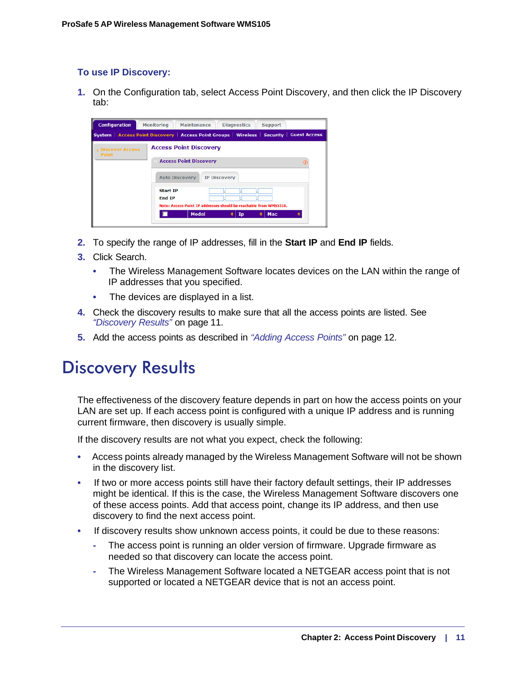### **To use IP Discovery:**

**1.** On the Configuration tab, select Access Point Discovery, and then click the IP Discovery tab:



- **2.** To specify the range of IP addresses, fill in the **Start IP** and **End IP** fields.
- **3.** Click Search.
	- The Wireless Management Software locates devices on the LAN within the range of IP addresses that you specified.
	- The devices are displayed in a list.
- **4.** Check the discovery results to make sure that all the access points are listed. See *["Discovery Results"](#page-10-0)* on page 11.
- **5.** Add the access points as described in *["Adding Access Points"](#page-11-0)* on page 12.

### <span id="page-10-1"></span><span id="page-10-0"></span>Discovery Results

The effectiveness of the discovery feature depends in part on how the access points on your LAN are set up. If each access point is configured with a unique IP address and is running current firmware, then discovery is usually simple.

If the discovery results are not what you expect, check the following:

- Access points already managed by the Wireless Management Software will not be shown in the discovery list.
- If two or more access points still have their factory default settings, their IP addresses might be identical. If this is the case, the Wireless Management Software discovers one of these access points. Add that access point, change its IP address, and then use discovery to find the next access point.
- If discovery results show unknown access points, it could be due to these reasons:
	- **-** The access point is running an older version of firmware. Upgrade firmware as needed so that discovery can locate the access point.
	- **-** The Wireless Management Software located a NETGEAR access point that is not supported or located a NETGEAR device that is not an access point.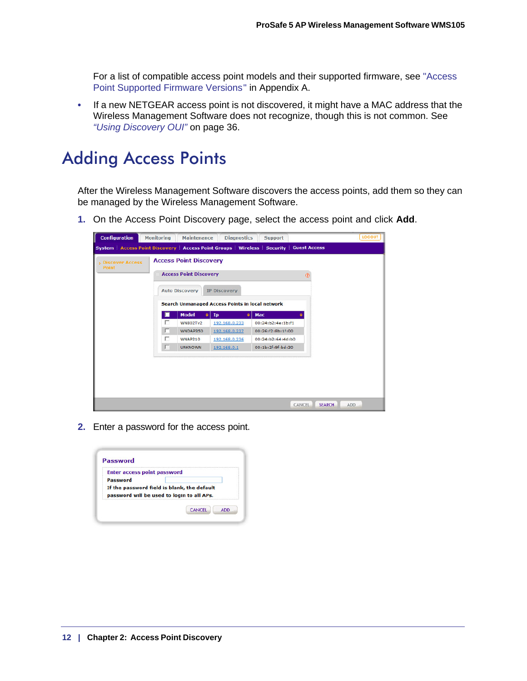For a list of compatible access point models and their supported firmware, see ["Access](#page-36-3)  [Point Supported Firmware Versions " in Appendix A.](#page-36-3)

**•** If a new NETGEAR access point is not discovered, it might have a MAC address that the Wireless Management Software does not recognize, though this is not common. See *["Using Discovery OUI"](#page-35-1)* on page 36.

### <span id="page-11-0"></span>Adding Access Points

After the Wireless Management Software discovers the access points, add them so they can be managed by the Wireless Management Software.

**1.** On the Access Point Discovery page, select the access point and click **Add**.

<span id="page-11-1"></span>

| <b>Configuration</b>            | <b>Monitoring</b> | <b>Maintenance</b>            | <b>Diagnostics</b>                                     | <b>Support</b>                                                                             |                                 | LOGOUT |
|---------------------------------|-------------------|-------------------------------|--------------------------------------------------------|--------------------------------------------------------------------------------------------|---------------------------------|--------|
|                                 |                   |                               |                                                        | System   Access Point Discovery   Access Point Groups   Wireless   Security   Guest Access |                                 |        |
| <b>Discover Access</b><br>Point |                   | <b>Access Point Discovery</b> |                                                        |                                                                                            |                                 |        |
|                                 |                   | <b>Access Point Discovery</b> |                                                        |                                                                                            | $\circ$                         |        |
|                                 |                   | <b>Auto Discovery</b>         | <b>IP Discovery</b>                                    |                                                                                            |                                 |        |
|                                 |                   |                               |                                                        |                                                                                            |                                 |        |
|                                 |                   |                               | <b>Search Unmanaged Access Points in local network</b> |                                                                                            |                                 |        |
|                                 |                   | <b>Model</b><br>٠             | Ip<br>٠                                                | Mac                                                                                        |                                 |        |
|                                 | г                 | <b>WN802Tv2</b>               | 192.168.0.233                                          | 00:24:b2:4e:1b:f1                                                                          |                                 |        |
|                                 | г                 | WNDAP350                      | 192.168.0.237                                          | 00:26:f2:8b:1f:00                                                                          |                                 |        |
|                                 | г                 | WNAP210                       | 192.168.0.236                                          | 00:24:b2:64:4d:b0                                                                          |                                 |        |
|                                 | г                 | <b>UNKNOWN</b>                | 192.168.0.1                                            | 00:1b:2f:9f:bd:30                                                                          |                                 |        |
|                                 |                   |                               |                                                        |                                                                                            |                                 |        |
|                                 |                   |                               |                                                        |                                                                                            |                                 |        |
|                                 |                   |                               |                                                        |                                                                                            |                                 |        |
|                                 |                   |                               |                                                        |                                                                                            |                                 |        |
|                                 |                   |                               |                                                        |                                                                                            |                                 |        |
|                                 |                   |                               |                                                        |                                                                                            | CANCEL<br><b>SEARCH</b><br>ADD. |        |
|                                 |                   |                               |                                                        |                                                                                            |                                 |        |

<span id="page-11-2"></span>**2.** Enter a password for the access point.

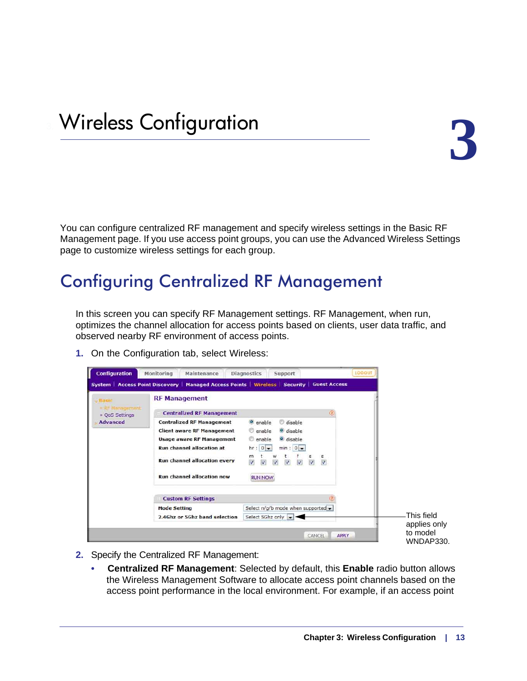<span id="page-12-0"></span>You can configure centralized RF management and specify wireless settings in the Basic RF Management page. If you use access point groups, you can use the Advanced Wireless Settings page to customize wireless settings for each group.

### <span id="page-12-1"></span>Configuring Centralized RF Management

<span id="page-12-2"></span>In this screen you can specify RF Management settings. RF Management, when run, optimizes the channel allocation for access points based on clients, user data traffic, and observed nearby RF environment of access points.

**1.** On the Configuration tab, select Wireless:

|                               | <b>System   Access Point Discovery  </b> | Managed Access Points   Wireless   Security                                                                                     |               |
|-------------------------------|------------------------------------------|---------------------------------------------------------------------------------------------------------------------------------|---------------|
| <b>Masic</b><br>R. Management | <b>RF Management</b>                     |                                                                                                                                 |               |
| » OoS Settings                | <b>Centralized RF Management</b>         |                                                                                                                                 | $\circled{2}$ |
| <b>Advanced</b>               | <b>Centralized RF Management</b>         | disable<br><b>O</b> enable                                                                                                      |               |
|                               | <b>Client aware RF Management</b>        | enable<br>o disable                                                                                                             |               |
|                               | <b>Usage aware RF Management</b>         | o disable<br>enable                                                                                                             |               |
|                               | <b>Run channel allocation at</b>         | $min: 0 -$<br>$hr: 0 -$                                                                                                         |               |
|                               | <b>Run channel allocation every</b>      | m<br>w<br>$\boldsymbol{J}$<br>$\overline{\mathsf{v}}$<br>$\overline{\mathcal{L}}$<br>V<br>$\sqrt{2}$<br>$\overline{\mathsf{v}}$ | s<br>V        |
|                               | <b>Run channel allocation now</b>        | <b>RUN NOW</b>                                                                                                                  |               |
|                               | <b>Custom RF Settings</b>                |                                                                                                                                 |               |
|                               | <b>Mode Setting</b>                      | Select n/g/b mode when supported $\bullet$                                                                                      |               |
|                               | 2.4Ghz or 5Ghz band selection            | Select 5Ghz only $\rightarrow$                                                                                                  |               |

- **2.** Specify the Centralized RF Management:
	- **Centralized RF Management**: Selected by default, this **Enable** radio button allows the Wireless Management Software to allocate access point channels based on the access point performance in the local environment. For example, if an access point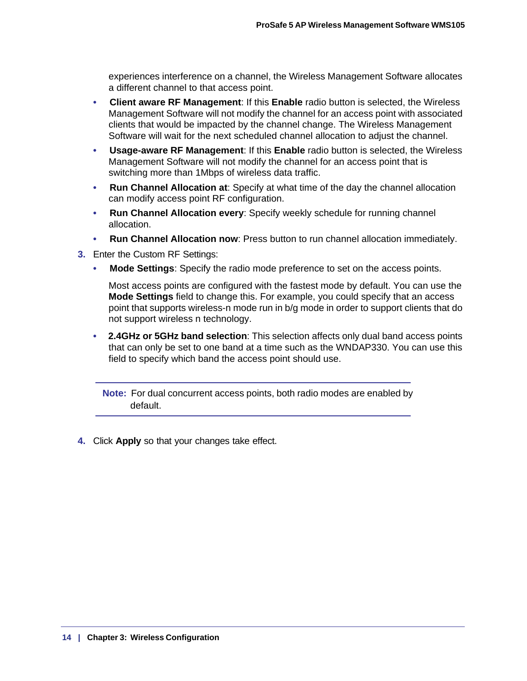experiences interference on a channel, the Wireless Management Software allocates a different channel to that access point.

- **Client aware RF Management**: If this **Enable** radio button is selected, the Wireless Management Software will not modify the channel for an access point with associated clients that would be impacted by the channel change. The Wireless Management Software will wait for the next scheduled channel allocation to adjust the channel.
- **Usage-aware RF Management**: If this **Enable** radio button is selected, the Wireless Management Software will not modify the channel for an access point that is switching more than 1Mbps of wireless data traffic.
- **Run Channel Allocation at**: Specify at what time of the day the channel allocation can modify access point RF configuration.
- **Run Channel Allocation every**: Specify weekly schedule for running channel allocation.
- **Run Channel Allocation now**: Press button to run channel allocation immediately.
- **3.** Enter the Custom RF Settings:
	- **Mode Settings**: Specify the radio mode preference to set on the access points.

Most access points are configured with the fastest mode by default. You can use the **Mode Settings** field to change this. For example, you could specify that an access point that supports wireless-n mode run in b/g mode in order to support clients that do not support wireless n technology.

**• 2.4GHz or 5GHz band selection**: This selection affects only dual band access points that can only be set to one band at a time such as the WNDAP330. You can use this field to specify which band the access point should use.

**Note:** For dual concurrent access points, both radio modes are enabled by default.

**4.** Click **Apply** so that your changes take effect.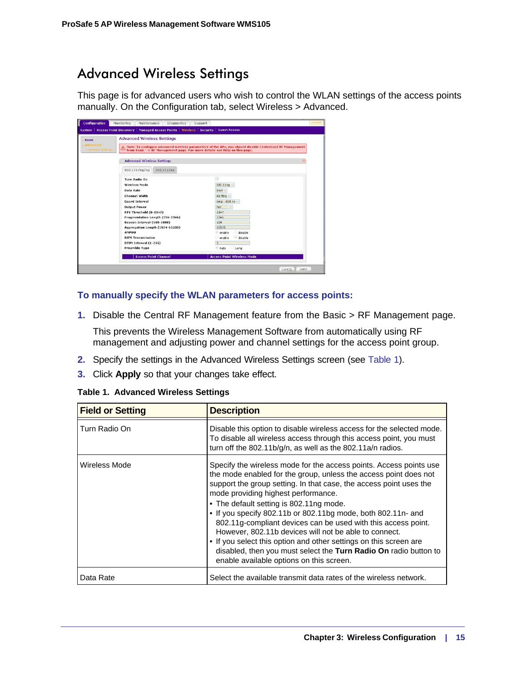### <span id="page-14-2"></span><span id="page-14-0"></span>Advanced Wireless Settings

This page is for advanced users who wish to control the WLAN settings of the access points manually. On the Configuration tab, select Wireless > Advanced.

| <b>Basic</b><br>Advanced | <b>Advanced Wireless Settings</b>                                          | Note: To configure advanced wireless parameters of the APs, you should disable Centralized RF Management |  |
|--------------------------|----------------------------------------------------------------------------|----------------------------------------------------------------------------------------------------------|--|
| » Winnless Settings      | from Basic --> RF Management page. For more details see Help on this page. |                                                                                                          |  |
|                          | <b>Advanced Wireless Settings</b>                                          |                                                                                                          |  |
|                          | 802.11a/na<br>802.11b/bg/ng                                                |                                                                                                          |  |
|                          | Turn Radio On                                                              | $\lceil v \rceil$                                                                                        |  |
|                          | <b>Wireless Mode</b>                                                       | 802.11ng                                                                                                 |  |
|                          | Data Rate                                                                  | Best                                                                                                     |  |
|                          | <b>Channel Width</b>                                                       | 40 MH <sub>2</sub>                                                                                       |  |
|                          | <b>Guard Interval</b>                                                      | $long - 800$ ns $\vee$                                                                                   |  |
|                          | <b>Output Power</b>                                                        | Full                                                                                                     |  |
|                          | RTS Threshold (0-2347)                                                     | 2347                                                                                                     |  |
|                          | Fragmentation Length (256-2346)                                            | 2346                                                                                                     |  |
|                          | Beacon Interval (100-1000)                                                 | 100                                                                                                      |  |
|                          | Aggregation Length (1024-65535)                                            | 65535                                                                                                    |  |
|                          | <b>AMPDII</b>                                                              | disable<br><sup>*</sup> enable                                                                           |  |
|                          | <b>RIFS Transmission</b>                                                   | disable<br>enable                                                                                        |  |
|                          | DTIM Interval (1-255)                                                      | $\overline{3}$                                                                                           |  |
|                          | <b>Preamble Type</b>                                                       | <sup>e</sup> Auto<br>Long                                                                                |  |
|                          | <b>Access Point Channel</b>                                                | <b>Access Point Wireless Mode</b>                                                                        |  |

### **To manually specify the WLAN parameters for access points:**

**1.** Disable the Central RF Management feature from the Basic > RF Management page.

This prevents the Wireless Management Software from automatically using RF management and adjusting power and channel settings for the access point group.

- **2.** Specify the settings in the Advanced Wireless Settings screen (see [Table 1\)](#page-14-1).
- **3.** Click **Apply** so that your changes take effect.

<span id="page-14-1"></span>

|  | <b>Table 1. Advanced Wireless Settings</b> |  |  |
|--|--------------------------------------------|--|--|
|--|--------------------------------------------|--|--|

| <b>Field or Setting</b> | <b>Description</b>                                                                                                                                                                                                                                                                                                                                                                                                                                                                                                                                                                                                                                                            |
|-------------------------|-------------------------------------------------------------------------------------------------------------------------------------------------------------------------------------------------------------------------------------------------------------------------------------------------------------------------------------------------------------------------------------------------------------------------------------------------------------------------------------------------------------------------------------------------------------------------------------------------------------------------------------------------------------------------------|
| Turn Radio On           | Disable this option to disable wireless access for the selected mode.<br>To disable all wireless access through this access point, you must<br>turn off the 802.11b/g/n, as well as the 802.11a/n radios.                                                                                                                                                                                                                                                                                                                                                                                                                                                                     |
| Wireless Mode           | Specify the wireless mode for the access points. Access points use<br>the mode enabled for the group, unless the access point does not<br>support the group setting. In that case, the access point uses the<br>mode providing highest performance.<br>• The default setting is 802.11ng mode.<br>. If you specify 802.11b or 802.11bg mode, both 802.11n- and<br>802.11g-compliant devices can be used with this access point.<br>However, 802.11b devices will not be able to connect.<br>• If you select this option and other settings on this screen are<br>disabled, then you must select the Turn Radio On radio button to<br>enable available options on this screen. |
| Data Rate               | Select the available transmit data rates of the wireless network.                                                                                                                                                                                                                                                                                                                                                                                                                                                                                                                                                                                                             |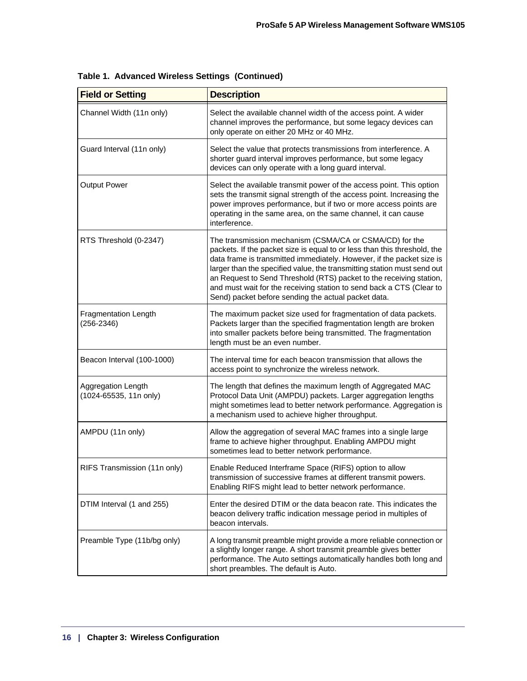| <b>Field or Setting</b>                       | <b>Description</b>                                                                                                                                                                                                                                                                                                                                                                                                                                                                            |
|-----------------------------------------------|-----------------------------------------------------------------------------------------------------------------------------------------------------------------------------------------------------------------------------------------------------------------------------------------------------------------------------------------------------------------------------------------------------------------------------------------------------------------------------------------------|
| Channel Width (11n only)                      | Select the available channel width of the access point. A wider<br>channel improves the performance, but some legacy devices can<br>only operate on either 20 MHz or 40 MHz.                                                                                                                                                                                                                                                                                                                  |
| Guard Interval (11n only)                     | Select the value that protects transmissions from interference. A<br>shorter guard interval improves performance, but some legacy<br>devices can only operate with a long guard interval.                                                                                                                                                                                                                                                                                                     |
| <b>Output Power</b>                           | Select the available transmit power of the access point. This option<br>sets the transmit signal strength of the access point. Increasing the<br>power improves performance, but if two or more access points are<br>operating in the same area, on the same channel, it can cause<br>interference.                                                                                                                                                                                           |
| RTS Threshold (0-2347)                        | The transmission mechanism (CSMA/CA or CSMA/CD) for the<br>packets. If the packet size is equal to or less than this threshold, the<br>data frame is transmitted immediately. However, if the packet size is<br>larger than the specified value, the transmitting station must send out<br>an Request to Send Threshold (RTS) packet to the receiving station,<br>and must wait for the receiving station to send back a CTS (Clear to<br>Send) packet before sending the actual packet data. |
| <b>Fragmentation Length</b><br>$(256 - 2346)$ | The maximum packet size used for fragmentation of data packets.<br>Packets larger than the specified fragmentation length are broken<br>into smaller packets before being transmitted. The fragmentation<br>length must be an even number.                                                                                                                                                                                                                                                    |
| Beacon Interval (100-1000)                    | The interval time for each beacon transmission that allows the<br>access point to synchronize the wireless network.                                                                                                                                                                                                                                                                                                                                                                           |
| Aggregation Length<br>(1024-65535, 11n only)  | The length that defines the maximum length of Aggregated MAC<br>Protocol Data Unit (AMPDU) packets. Larger aggregation lengths<br>might sometimes lead to better network performance. Aggregation is<br>a mechanism used to achieve higher throughput.                                                                                                                                                                                                                                        |
| AMPDU (11n only)                              | Allow the aggregation of several MAC frames into a single large<br>frame to achieve higher throughput. Enabling AMPDU might<br>sometimes lead to better network performance.                                                                                                                                                                                                                                                                                                                  |
| RIFS Transmission (11n only)                  | Enable Reduced Interframe Space (RIFS) option to allow<br>transmission of successive frames at different transmit powers.<br>Enabling RIFS might lead to better network performance.                                                                                                                                                                                                                                                                                                          |
| DTIM Interval (1 and 255)                     | Enter the desired DTIM or the data beacon rate. This indicates the<br>beacon delivery traffic indication message period in multiples of<br>beacon intervals.                                                                                                                                                                                                                                                                                                                                  |
| Preamble Type (11b/bg only)                   | A long transmit preamble might provide a more reliable connection or<br>a slightly longer range. A short transmit preamble gives better<br>performance. The Auto settings automatically handles both long and<br>short preambles. The default is Auto.                                                                                                                                                                                                                                        |

|  |  |  |  | Table 1. Advanced Wireless Settings (Continued) |  |
|--|--|--|--|-------------------------------------------------|--|
|--|--|--|--|-------------------------------------------------|--|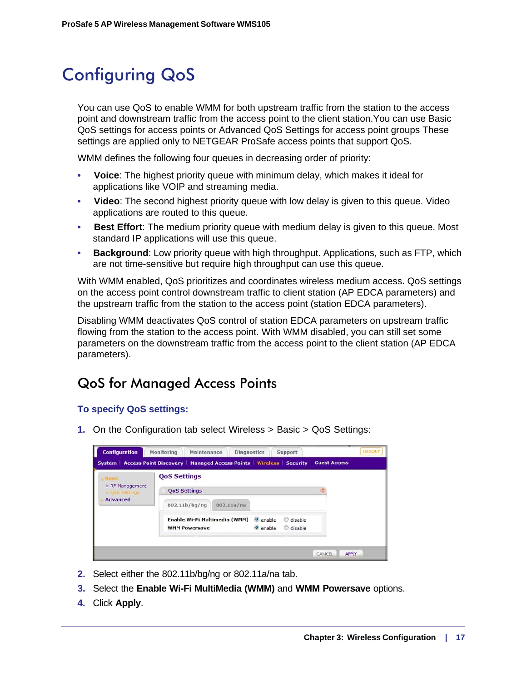### <span id="page-16-0"></span>Configuring QoS

<span id="page-16-2"></span>You can use QoS to enable WMM for both upstream traffic from the station to the access point and downstream traffic from the access point to the client station.You can use Basic QoS settings for access points or Advanced QoS Settings for access point groups These settings are applied only to NETGEAR ProSafe access points that support QoS.

WMM defines the following four queues in decreasing order of priority:

- **Voice**: The highest priority queue with minimum delay, which makes it ideal for applications like VOIP and streaming media.
- **Video**: The second highest priority queue with low delay is given to this queue. Video applications are routed to this queue.
- **Best Effort**: The medium priority queue with medium delay is given to this queue. Most standard IP applications will use this queue.
- **Background**: Low priority queue with high throughput. Applications, such as FTP, which are not time-sensitive but require high throughput can use this queue.

With WMM enabled, QoS prioritizes and coordinates wireless medium access. QoS settings on the access point control downstream traffic to client station (AP EDCA parameters) and the upstream traffic from the station to the access point (station EDCA parameters).

Disabling WMM deactivates QoS control of station EDCA parameters on upstream traffic flowing from the station to the access point. With WMM disabled, you can still set some parameters on the downstream traffic from the access point to the client station (AP EDCA parameters).

### <span id="page-16-3"></span><span id="page-16-1"></span>QoS for Managed Access Points

### **To specify QoS settings:**

**1.** On the Configuration tab select Wireless > Basic > QoS Settings:

| » RF Management<br>COOS Settings<br><b>Advanced</b> | <b>QoS Settings</b>  |                               |                     |         |  |
|-----------------------------------------------------|----------------------|-------------------------------|---------------------|---------|--|
|                                                     | <b>QoS Settings</b>  |                               |                     |         |  |
|                                                     | 802.11b/bg/ng        | 802.11a/na                    |                     |         |  |
|                                                     |                      | Enable Wi-Fi Multimedia (WMM) | <sup>o</sup> enable | disable |  |
|                                                     | <b>WMM Powersave</b> |                               | o enable            | disable |  |

- **2.** Select either the 802.11b/bg/ng or 802.11a/na tab.
- **3.** Select the **Enable Wi-Fi MultiMedia (WMM)** and **WMM Powersave** options.
- **4.** Click **Apply**.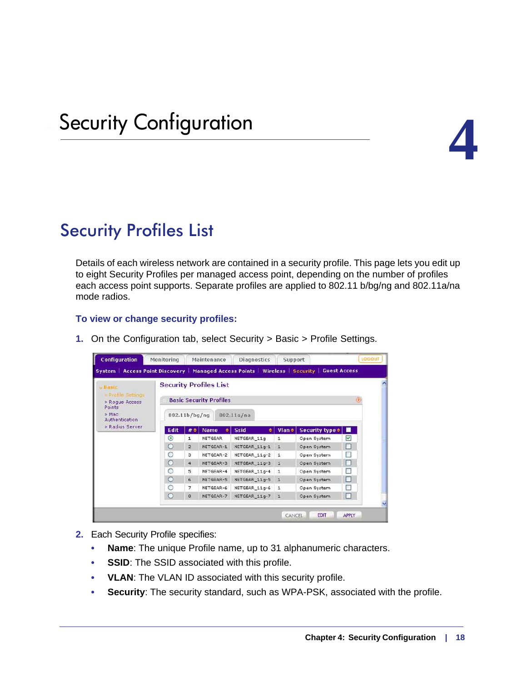

### <span id="page-17-1"></span><span id="page-17-0"></span>Security Profiles List

Details of each wireless network are contained in a security profile. This page lets you edit up to eight Security Profiles per managed access point, depending on the number of profiles each access point supports. Separate profiles are applied to 802.11 b/bg/ng and 802.11a/na mode radios.

### **To view or change security profiles:**

| <b>J</b> Blasic                                       |                  |                | <b>Security Profiles List</b>  |                  |              |                                     |             |
|-------------------------------------------------------|------------------|----------------|--------------------------------|------------------|--------------|-------------------------------------|-------------|
| <b>A</b> Profile Settings<br>» Rogue Access<br>Points |                  |                | <b>Basic Security Profiles</b> |                  |              |                                     | $\tilde{a}$ |
| $>$ Mac<br>Authentication                             |                  | 802.11b/bg/ng  |                                | 802.11a/na       |              |                                     |             |
| » Radius Server                                       | Edit             | $#$ $\diamond$ | <b>Name</b><br>÷               | <b>Ssid</b><br>٠ | $Vlan \div$  | Security type $\div$ $\blacksquare$ |             |
|                                                       | $_{\tiny \odot}$ | $\mathbf{1}$   | <b>NETGEAR</b>                 | NETGEAR_11g      | $\mathbf{1}$ | Open System                         | ☑           |
|                                                       | Ο                | $\bar{z}$      | NETGEAR-1                      | NETGEAR_11g-1    | $\perp$      | Open System                         | П           |
|                                                       | O                | з              | NETGEAR-2                      | NETGEAR 11g-2    | 1            | Open System                         | Е           |
|                                                       | $\circ$          | $\overline{4}$ | NETGEAR-3                      | NETGEAR 11g-3    | $\mathbf{1}$ | Open System                         | П           |
|                                                       | $\circ$          | 5              | NETGEAR-4                      | NETGEAR 11g-4    | $\mathbf{1}$ | Open System                         |             |
|                                                       | $\circ$          | 6              | NETGEAR-5                      | NETGEAR 11g-5    | $\mathbf{1}$ | Open System                         | Е           |
|                                                       | O                | 7              | NETGEAR-6                      | NETGEAR_11g-6    | $\mathbf{1}$ | Open System                         |             |
|                                                       | $\Omega$         | 8              | NETGEAR-7                      | NETGEAR 11g-7    | $\mathbf{1}$ | Open System                         | п           |

**1.** On the Configuration tab, select Security > Basic > Profile Settings.

- **2.** Each Security Profile specifies:
	- **Name**: The unique Profile name, up to 31 alphanumeric characters.
	- **SSID:** The SSID associated with this profile.
	- **VLAN**: The VLAN ID associated with this security profile.
	- **Security**: The security standard, such as WPA-PSK, associated with the profile.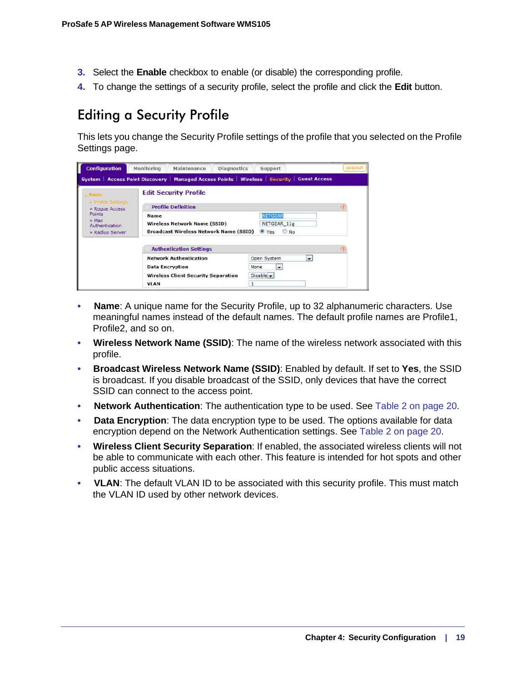- **3.** Select the **Enable** checkbox to enable (or disable) the corresponding profile.
- **4.** To change the settings of a security profile, select the profile and click the **Edit** button.

### <span id="page-18-1"></span><span id="page-18-0"></span>Editing a Security Profile

This lets you change the Security Profile settings of the profile that you selected on the Profile Settings page.

| <b>Configuration</b>                                                                                     | Monitoring<br>Maintenance                                                                           | <i><b>LOGOUT</b></i><br><b>Diagnostics</b><br>Support                                      |
|----------------------------------------------------------------------------------------------------------|-----------------------------------------------------------------------------------------------------|--------------------------------------------------------------------------------------------|
|                                                                                                          |                                                                                                     | System Access Point Discovery   Managed Access Points   Wireless   Security   Guest Access |
| Busic                                                                                                    | <b>Edit Security Profile</b>                                                                        |                                                                                            |
| <b>Frufile Settings</b><br>Roque Access<br>Points<br>$>$ Mac<br><b>Authentication</b><br>» Radius Server | <b>Profile Definition</b>                                                                           |                                                                                            |
|                                                                                                          | <b>Name</b><br><b>Wireless Network Name (SSID)</b><br><b>Broadcast Wireless Network Name (SSID)</b> | <b>NETGEAR</b><br>NETGEAR 11g<br>O Yes<br>$\Box$ No.                                       |
|                                                                                                          | <b>Authentication Settings</b>                                                                      |                                                                                            |
|                                                                                                          | <b>Network Authentication</b>                                                                       | Open System<br>$\cdot$                                                                     |
|                                                                                                          | <b>Data Encryption</b><br><b>Wireless Client Security Separation</b><br><b>VLAN</b>                 | None<br>$\sim$<br>Disable -<br>1                                                           |

- **Name**: A unique name for the Security Profile, up to 32 alphanumeric characters. Use meaningful names instead of the default names. The default profile names are Profile1, Profile2, and so on.
- **Wireless Network Name (SSID)**: The name of the wireless network associated with this profile.
- **Broadcast Wireless Network Name (SSID)**: Enabled by default. If set to **Yes**, the SSID is broadcast. If you disable broadcast of the SSID, only devices that have the correct SSID can connect to the access point.
- **Network Authentication**: The authentication type to be used. See [Table 2 on page 20](#page-19-1).
- **Data Encryption**: The data encryption type to be used. The options available for data encryption depend on the Network Authentication settings. See [Table 2 on page 20.](#page-19-1)
- **Wireless Client Security Separation**: If enabled, the associated wireless clients will not be able to communicate with each other. This feature is intended for hot spots and other public access situations.
- **VLAN**: The default VLAN ID to be associated with this security profile. This must match the VLAN ID used by other network devices.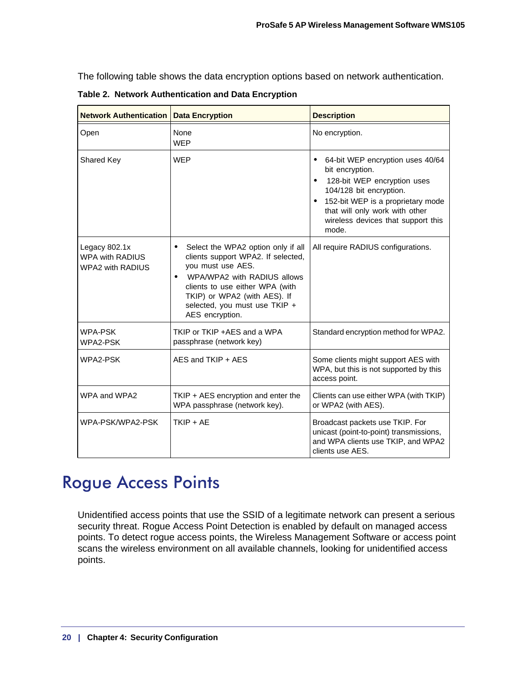The following table shows the data encryption options based on network authentication.

| <b>Network Authentication</b>                                      | <b>Data Encryption</b>                                                                                                                                                                                                                                           | <b>Description</b>                                                                                                                                                                                                                                            |
|--------------------------------------------------------------------|------------------------------------------------------------------------------------------------------------------------------------------------------------------------------------------------------------------------------------------------------------------|---------------------------------------------------------------------------------------------------------------------------------------------------------------------------------------------------------------------------------------------------------------|
| Open                                                               | None<br><b>WEP</b>                                                                                                                                                                                                                                               | No encryption.                                                                                                                                                                                                                                                |
| Shared Key                                                         | <b>WEP</b>                                                                                                                                                                                                                                                       | 64-bit WEP encryption uses 40/64<br>$\bullet$<br>bit encryption.<br>128-bit WEP encryption uses<br>104/128 bit encryption.<br>152-bit WEP is a proprietary mode<br>$\bullet$<br>that will only work with other<br>wireless devices that support this<br>mode. |
| Legacy 802.1x<br><b>WPA with RADIUS</b><br><b>WPA2 with RADIUS</b> | Select the WPA2 option only if all<br>clients support WPA2. If selected,<br>you must use AES.<br>WPA/WPA2 with RADIUS allows<br>$\bullet$<br>clients to use either WPA (with<br>TKIP) or WPA2 (with AES). If<br>selected, you must use TKIP +<br>AES encryption. | All require RADIUS configurations.                                                                                                                                                                                                                            |
| <b>WPA-PSK</b><br>WPA2-PSK                                         | TKIP or TKIP +AES and a WPA<br>passphrase (network key)                                                                                                                                                                                                          | Standard encryption method for WPA2.                                                                                                                                                                                                                          |
| WPA2-PSK                                                           | AES and TKIP + AES                                                                                                                                                                                                                                               | Some clients might support AES with<br>WPA, but this is not supported by this<br>access point.                                                                                                                                                                |
| WPA and WPA2                                                       | TKIP + AES encryption and enter the<br>WPA passphrase (network key).                                                                                                                                                                                             | Clients can use either WPA (with TKIP)<br>or WPA2 (with AES).                                                                                                                                                                                                 |
| WPA-PSK/WPA2-PSK                                                   | $TKIP + AE$                                                                                                                                                                                                                                                      | Broadcast packets use TKIP. For<br>unicast (point-to-point) transmissions,<br>and WPA clients use TKIP, and WPA2<br>clients use AES.                                                                                                                          |

<span id="page-19-1"></span>**Table 2. Network Authentication and Data Encryption** 

### <span id="page-19-2"></span><span id="page-19-0"></span>Rogue Access Points

Unidentified access points that use the SSID of a legitimate network can present a serious security threat. Rogue Access Point Detection is enabled by default on managed access points. To detect rogue access points, the Wireless Management Software or access point scans the wireless environment on all available channels, looking for unidentified access points.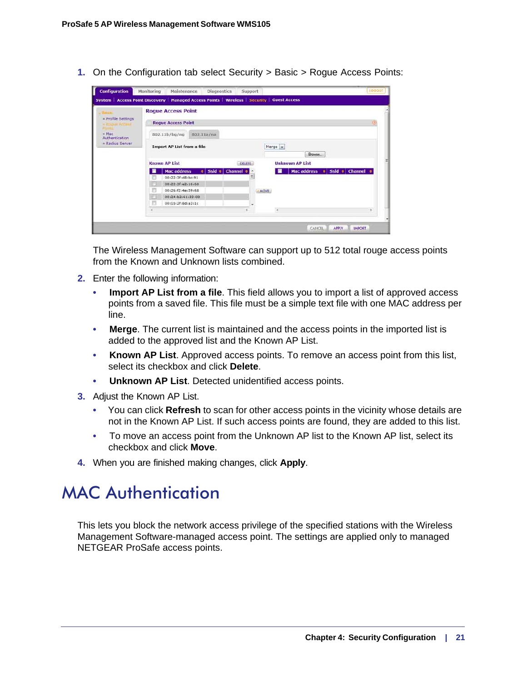**1.** On the Configuration tab select Security > Basic > Rogue Access Points:

| <b>Sunte</b>                                | <b>Roque Access Point</b>                                                                                |                                         |     |
|---------------------------------------------|----------------------------------------------------------------------------------------------------------|-----------------------------------------|-----|
| - Profile Settings<br><b>ISBUILE Access</b> | <b>Roque Access Point</b>                                                                                |                                         | 125 |
| $-Mac$<br>Authentication                    | 802.11a/na<br>802.11b/bq/nq                                                                              |                                         |     |
| Radius Server                               | <b>Import AP List from a file</b>                                                                        | Merge -<br>Browse                       |     |
|                                             | <b>Known AP List</b>                                                                                     | <b>Unknown AP List</b><br><b>DELETE</b> |     |
|                                             | $\bullet$ Ssid $\bullet$ Channel $\circ$<br><b>Mac address</b><br>00:22:3f:d8:bc:91<br>00:22:3fre2:16:68 | Mac address o Ssid o Channel o<br>퉈     |     |
|                                             | 00:26:f2:4e:59:68<br>ш<br>00:24:52:61:33:00                                                              | - MOVE                                  |     |
|                                             | 00:1b:2f:8d:a3:1c                                                                                        |                                         |     |

The Wireless Management Software can support up to 512 total rouge access points from the Known and Unknown lists combined.

- **2.** Enter the following information:
	- **Import AP List from a file**. This field allows you to import a list of approved access points from a saved file. This file must be a simple text file with one MAC address per line.
	- **Merge**. The current list is maintained and the access points in the imported list is added to the approved list and the Known AP List.
	- **Known AP List**. Approved access points. To remove an access point from this list, select its checkbox and click **Delete**.
	- **Unknown AP List**. Detected unidentified access points.
- **3.** Adjust the Known AP List.
	- You can click **Refresh** to scan for other access points in the vicinity whose details are not in the Known AP List. If such access points are found, they are added to this list.
	- To move an access point from the Unknown AP list to the Known AP list, select its checkbox and click **Move**.
- **4.** When you are finished making changes, click **Apply**.

### <span id="page-20-1"></span><span id="page-20-0"></span>MAC Authentication

This lets you block the network access privilege of the specified stations with the Wireless Management Software-managed access point. The settings are applied only to managed NETGEAR ProSafe access points.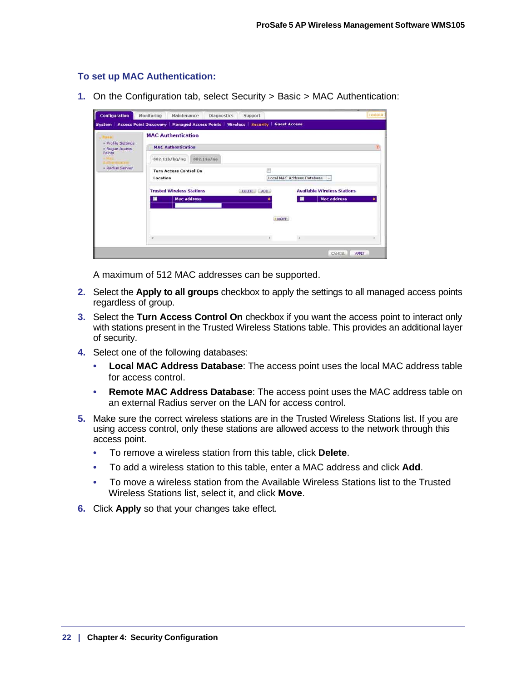### **To set up MAC Authentication:**

**1.** On the Configuration tab, select Security > Basic > MAC Authentication:

| <b>Configuration</b>                                          | Monitoring<br>Diagnostics<br>Maintenance                                                     | Support     |                                                          | LOODUT                 |  |  |  |
|---------------------------------------------------------------|----------------------------------------------------------------------------------------------|-------------|----------------------------------------------------------|------------------------|--|--|--|
|                                                               | System   Access Point Discovery   Managed Access Points   Wireless   Security   Guest Access |             |                                                          |                        |  |  |  |
| - Profile Settings<br>Rogue Access<br>Points<br>Radius Server | <b>MAC Authentication</b><br><b>MAC Authentication</b><br>802.11a/na<br>802.11b/bg/ng        |             |                                                          |                        |  |  |  |
|                                                               | <b>Turn Access Control On</b><br>Location                                                    |             | Local MAC Address Database<br>H.                         |                        |  |  |  |
|                                                               | <b>Trusted Wireless Stations</b><br><b>Mac address</b>                                       | DELETE ADD  | <b>Available Wireless Stations</b><br><b>Mac address</b> |                        |  |  |  |
|                                                               |                                                                                              | <b>MOVE</b> |                                                          |                        |  |  |  |
|                                                               | ×                                                                                            |             |                                                          |                        |  |  |  |
|                                                               |                                                                                              |             |                                                          | <b>APPLY</b><br>CANCEL |  |  |  |

A maximum of 512 MAC addresses can be supported.

- **2.** Select the **Apply to all groups** checkbox to apply the settings to all managed access points regardless of group.
- **3.** Select the **Turn Access Control On** checkbox if you want the access point to interact only with stations present in the Trusted Wireless Stations table. This provides an additional layer of security.
- **4.** Select one of the following databases:
	- **Local MAC Address Database**: The access point uses the local MAC address table for access control.
	- **Remote MAC Address Database**: The access point uses the MAC address table on an external Radius server on the LAN for access control.
- **5.** Make sure the correct wireless stations are in the Trusted Wireless Stations list. If you are using access control, only these stations are allowed access to the network through this access point.
	- To remove a wireless station from this table, click **Delete**.
	- To add a wireless station to this table, enter a MAC address and click **Add**.
	- To move a wireless station from the Available Wireless Stations list to the Trusted Wireless Stations list, select it, and click **Move**.
- **6.** Click **Apply** so that your changes take effect.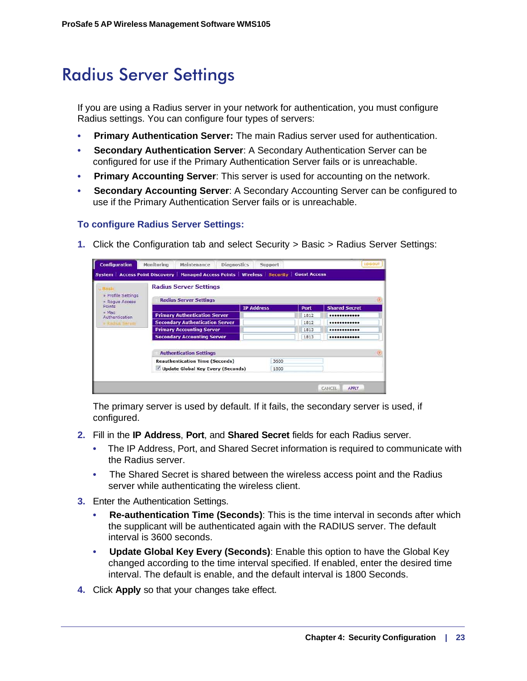### <span id="page-22-0"></span>Radius Server Settings

<span id="page-22-1"></span>If you are using a Radius server in your network for authentication, you must configure Radius settings. You can configure four types of servers:

- **Primary Authentication Server:** The main Radius server used for authentication.
- **Secondary Authentication Server**: A Secondary Authentication Server can be configured for use if the Primary Authentication Server fails or is unreachable.
- **Primary Accounting Server**: This server is used for accounting on the network.
- **Secondary Accounting Server**: A Secondary Accounting Server can be configured to use if the Primary Authentication Server fails or is unreachable.

### **To configure Radius Server Settings:**

**1.** Click the Configuration tab and select Security > Basic > Radius Server Settings:

| <b>System   Access Point Discovery</b> | <b>Managed Access Points   Wireless   Security  </b>           |                   |      | <b>Guest Access</b> |                      |
|----------------------------------------|----------------------------------------------------------------|-------------------|------|---------------------|----------------------|
| <b>Jiash</b><br>Profile Settings       | <b>Radius Server Settings</b><br><b>Radius Server Settings</b> |                   |      |                     |                      |
| Rogue Access<br>Points                 |                                                                | <b>IP Address</b> |      | Port                | <b>Shared Secret</b> |
| Mac<br>Authentication                  | <b>Primary Authentication Server</b>                           |                   |      | 1812                |                      |
| <b>I ReJul Sarver</b>                  | <b>Secondary Authentication Server</b>                         |                   |      | 1812                |                      |
|                                        | <b>Primary Accounting Server</b>                               |                   |      | 1813                |                      |
|                                        | <b>Secondary Accounting Server</b>                             |                   |      | 1813                |                      |
|                                        | <b>Authentication Settings</b>                                 |                   |      |                     |                      |
|                                        | <b>Reauthentication Time (Seconds)</b>                         |                   | 3600 |                     |                      |
|                                        | Update Global Key Every (Seconds)                              |                   | 1800 |                     |                      |

The primary server is used by default. If it fails, the secondary server is used, if configured.

- **2.** Fill in the **IP Address**, **Port**, and **Shared Secret** fields for each Radius server.
	- The IP Address, Port, and Shared Secret information is required to communicate with the Radius server.
	- The Shared Secret is shared between the wireless access point and the Radius server while authenticating the wireless client.
- **3.** Enter the Authentication Settings.
	- **Re-authentication Time (Seconds)**: This is the time interval in seconds after which the supplicant will be authenticated again with the RADIUS server. The default interval is 3600 seconds.
	- **Update Global Key Every (Seconds)**: Enable this option to have the Global Key changed according to the time interval specified. If enabled, enter the desired time interval. The default is enable, and the default interval is 1800 Seconds.
- **4.** Click **Apply** so that your changes take effect.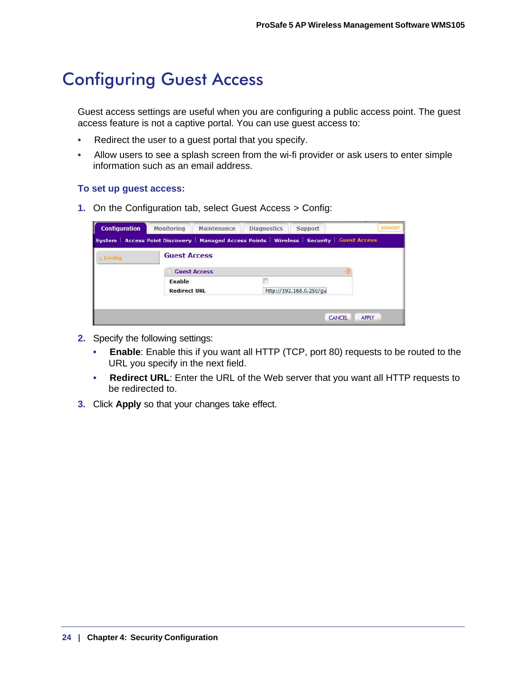### <span id="page-23-0"></span>Configuring Guest Access

<span id="page-23-1"></span>Guest access settings are useful when you are configuring a public access point. The guest access feature is not a captive portal. You can use guest access to:

- Redirect the user to a guest portal that you specify.
- Allow users to see a splash screen from the wi-fi provider or ask users to enter simple information such as an email address.

### **To set up guest access:**

**1.** On the Configuration tab, select Guest Access > Config:

| <b>Configuration</b> | Monitoring                    | Maintenance         | <b>Diagnostics</b> | Support                                                                                      | <b>LOGOUT</b> |
|----------------------|-------------------------------|---------------------|--------------------|----------------------------------------------------------------------------------------------|---------------|
|                      |                               |                     |                    | System   Access Point Discovery   Managed Access Points   Wireless   Security   Guest Access |               |
| - Config             | <b>Guest Access</b>           |                     |                    |                                                                                              |               |
|                      |                               | <b>Guest Access</b> |                    |                                                                                              |               |
|                      | Enable<br><b>Redirect URL</b> |                     |                    | http://192.168.0.250/gu                                                                      |               |
|                      |                               |                     |                    |                                                                                              |               |
|                      |                               |                     |                    | <b>CANCEL</b>                                                                                | <b>APPLY</b>  |

- **2.** Specify the following settings:
	- **Enable**: Enable this if you want all HTTP (TCP, port 80) requests to be routed to the URL you specify in the next field.
	- **Redirect URL**: Enter the URL of the Web server that you want all HTTP requests to be redirected to.
- **3.** Click **Apply** so that your changes take effect.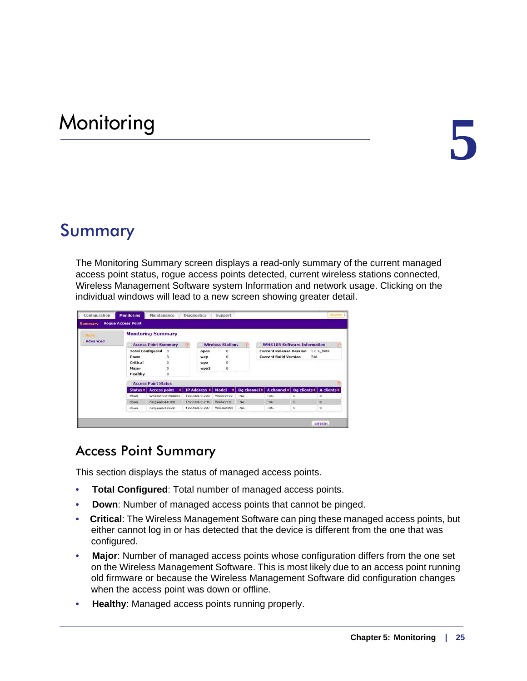# <span id="page-24-0"></span>5. Monitoring **5**

### <span id="page-24-1"></span>Summary

<span id="page-24-4"></span>The Monitoring Summary screen displays a read-only summary of the current managed access point status, rogue access points detected, current wireless stations connected, Wireless Management Software system Information and network usage. Clicking on the individual windows will lead to a new screen showing greater detail.

| <b>Nasic</b>    | <b>Monitoring Summary</b>            |                                               |                                      |                          |                                 |                                                                           |                            |                         |  |  |  |
|-----------------|--------------------------------------|-----------------------------------------------|--------------------------------------|--------------------------|---------------------------------|---------------------------------------------------------------------------|----------------------------|-------------------------|--|--|--|
| <b>Advanced</b> | <b>Access Point Summary</b>          |                                               | <b>Wireless Stations</b><br>$\sigma$ |                          |                                 | <b>WMS105 Software Information</b>                                        | 伤                          |                         |  |  |  |
|                 | Down<br>Critical<br>Major<br>Healthy | <b>Total Configured 3</b><br>з<br>ò<br>ò<br>ò | open<br>wep<br>wpa<br>wpa2           | ũ<br>ō<br>ŭ<br>ö         |                                 | <b>Current Release Version 1.0.9 Beta</b><br><b>Current Build Version</b> | 348                        |                         |  |  |  |
|                 |                                      | <b>Access Point Status</b>                    |                                      |                          |                                 |                                                                           |                            | (T)                     |  |  |  |
|                 | $Status =$<br>down                   | <b>Access point</b><br>٠<br>WN802Tv2-c0a800   | IP Address =<br>192.168.0.223        | Model<br><b>WN802Tv2</b> | Bg channel $\approx$<br>$-16A-$ | A channel =<br>$-MA-$                                                     | <b>Bg clients =  </b><br>ō | A clients $\doteq$<br>a |  |  |  |
|                 | down                                 | netgear644DB8                                 | 192,168,0,236                        | WNAP210                  | $-NA-$                          | $-MA-$                                                                    | $\alpha$                   | $\circ$                 |  |  |  |
|                 | down                                 | netgear613628                                 | 192.168.0.237                        | WNDAP350                 | +NA-                            | $-14A-$                                                                   | $\circ$                    | o                       |  |  |  |

### <span id="page-24-3"></span><span id="page-24-2"></span>Access Point Summary

This section displays the status of managed access points.

- **Total Configured**: Total number of managed access points.
- **Down**: Number of managed access points that cannot be pinged.
- **Critical**: The Wireless Management Software can ping these managed access points, but either cannot log in or has detected that the device is different from the one that was configured.
- **Major**: Number of managed access points whose configuration differs from the one set on the Wireless Management Software. This is most likely due to an access point running old firmware or because the Wireless Management Software did configuration changes when the access point was down or offline.
- **Healthy:** Managed access points running properly.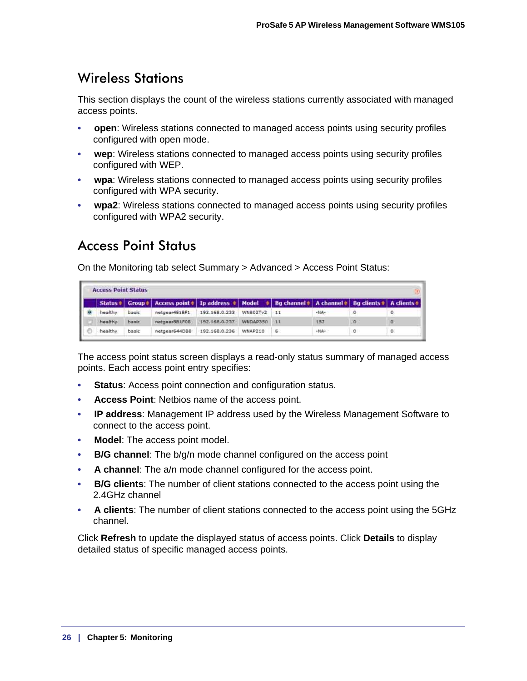### <span id="page-25-2"></span><span id="page-25-0"></span>Wireless Stations

This section displays the count of the wireless stations currently associated with managed access points.

- **open**: Wireless stations connected to managed access points using security profiles configured with open mode.
- **wep**: Wireless stations connected to managed access points using security profiles configured with WEP.
- **wpa**: Wireless stations connected to managed access points using security profiles configured with WPA security.
- **wpa2**: Wireless stations connected to managed access points using security profiles configured with WPA2 security.

### <span id="page-25-3"></span><span id="page-25-1"></span>Access Point Status

On the Monitoring tab select Summary > Advanced > Access Point Status:

| <b>Access Point Status</b> |                    |                                                                                                                        |               |          |      |          |   |    |  |  |  |
|----------------------------|--------------------|------------------------------------------------------------------------------------------------------------------------|---------------|----------|------|----------|---|----|--|--|--|
|                            |                    | Status =   Group =   Access point =   Ip address =   Model =   Bg channel =   A channel =   Bg clients =   A clients = |               |          |      |          |   |    |  |  |  |
| healthy                    | basic              | netgear4E18F1                                                                                                          | 192.168.0.233 | WN802Tv2 | 11   | $-14A -$ |   |    |  |  |  |
| healthy                    | basic <sup>'</sup> | natgaar881F08                                                                                                          | 192.168.0.237 | WNDAP350 | - 11 | 157      | ю | σ. |  |  |  |
| healthy                    | basic              | netgear644DBB                                                                                                          | 192.168.0.236 | WNAP210  | s.   | $-MA -$  | o | Ō  |  |  |  |

The access point status screen displays a read-only status summary of managed access points. Each access point entry specifies:

- **Status**: Access point connection and configuration status.
- **Access Point**: Netbios name of the access point.
- **IP address**: Management IP address used by the Wireless Management Software to connect to the access point.
- **Model**: The access point model.
- **B/G channel**: The b/g/n mode channel configured on the access point
- **A channel**: The a/n mode channel configured for the access point.
- **B/G clients**: The number of client stations connected to the access point using the 2.4GHz channel
- **A clients**: The number of client stations connected to the access point using the 5GHz channel.

Click **Refresh** to update the displayed status of access points. Click **Details** to display detailed status of specific managed access points.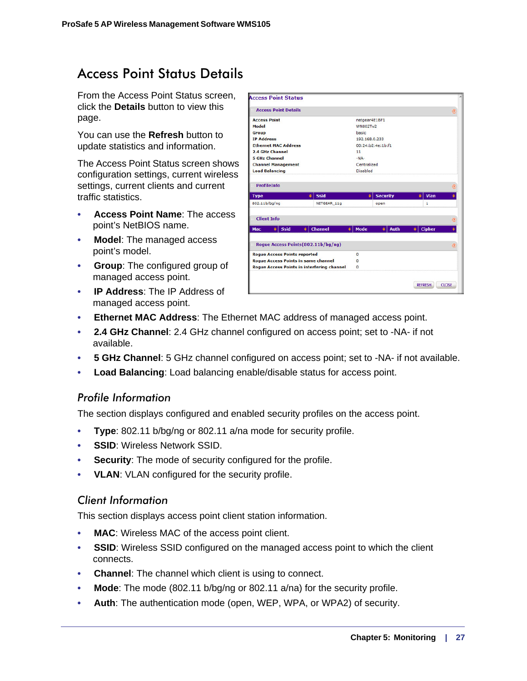### <span id="page-26-1"></span><span id="page-26-0"></span>Access Point Status Details

From the Access Point Status screen, click the **Details** button to view this page.

You can use the **Refresh** button to update statistics and information.

The Access Point Status screen shows configuration settings, current wireless settings, current clients and current traffic statistics.

- **Access Point Name**: The access point's NetBIOS name.
- **Model**: The managed access point's model.
- **Group**: The configured group of managed access point.
- **IP Address**: The IP Address of managed access point.

| <b>Access Point Details</b>                       |                     |                 |                   |                     | $\circledR$ |
|---------------------------------------------------|---------------------|-----------------|-------------------|---------------------|-------------|
| <b>Access Point</b>                               |                     | netgear4E1BF1   |                   |                     |             |
| Model                                             |                     | <b>WN802Tv2</b> |                   |                     |             |
| <b>Group</b>                                      |                     | basic           |                   |                     |             |
| <b>IP Address</b>                                 |                     | 192.168.0.233   |                   |                     |             |
| <b>Ethernet MAC Address</b>                       |                     |                 | 00:24:b2:4e:1b:f1 |                     |             |
| 2.4 GHz Channel                                   |                     | 11              |                   |                     |             |
| <b>5 GHz Channel</b>                              |                     | $-NA-$          |                   |                     |             |
| <b>Channel Management</b>                         |                     | Centralized     |                   |                     |             |
| <b>Load Balancing</b>                             |                     | <b>Disabled</b> |                   |                     |             |
| <b>ProfileInfo</b>                                |                     |                 |                   |                     | $\circledR$ |
| <b>Type</b><br>٠                                  | <b>Ssid</b>         | ٠               | <b>Security</b>   | Vlan<br>٠           | ٠           |
| 802.11b/bg/ng                                     | NETGEAR 11g         |                 | open              | 1                   |             |
| <b>Client Info</b>                                |                     |                 |                   |                     | $\circledR$ |
| <b>Ssid</b><br>٠ŀ<br>٠I<br>Mac                    | <b>Channel</b><br>٠ | Mode            | Auth<br>٠I۰       | <b>Cipher</b><br>÷۱ | ٠           |
| Roque Access Points (802.11b/bg/ng)               |                     |                 |                   |                     | $\circledR$ |
|                                                   |                     | $\Omega$        |                   |                     |             |
| <b>Roque Access Points reported</b>               |                     | $\circ$         |                   |                     |             |
| <b>Roque Access Points in same channel</b>        |                     |                 |                   |                     |             |
| <b>Rogue Access Points in interfering channel</b> |                     | $\circ$         |                   |                     |             |

- **Ethernet MAC Address**: The Ethernet MAC address of managed access point.
- **2.4 GHz Channel**: 2.4 GHz channel configured on access point; set to -NA- if not available.
- **5 GHz Channel**: 5 GHz channel configured on access point; set to -NA- if not available.
- **Load Balancing**: Load balancing enable/disable status for access point.

### **Profile Information**

*Profile Information* The section displays configured and enabled security profiles on the access point.

- **Type**: 802.11 b/bg/ng or 802.11 a/na mode for security profile.
- **SSID**: Wireless Network SSID.
- **Security**: The mode of security configured for the profile.
- **VLAN**: VLAN configured for the security profile.

*Client Information* This section displays access point client station information.

- **MAC**: Wireless MAC of the access point client.
- **SSID:** Wireless SSID configured on the managed access point to which the client connects.
- **Channel**: The channel which client is using to connect.
- **Mode**: The mode (802.11 b/bg/ng or 802.11 a/na) for the security profile.
- **Auth**: The authentication mode (open, WEP, WPA, or WPA2) of security.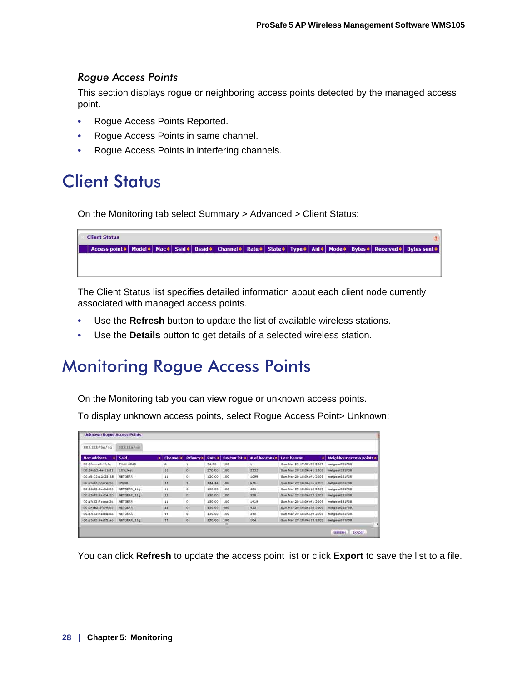*Rogue Access Points* This section displays rogue or neighboring access points detected by the managed access point.

- Rogue Access Points Reported.
- Rogue Access Points in same channel.
- Rogue Access Points in interfering channels.

### <span id="page-27-2"></span><span id="page-27-0"></span>Client Status

On the Monitoring tab select Summary > Advanced > Client Status:

**Client Status** Access point  $\diamond$  | Model  $\diamond$  | Mac  $\diamond$  | Ssid  $\diamond$  | Bssid  $\diamond$  | Channel  $\diamond$  | Rate  $\diamond$  | Type  $\diamond$  | Aid  $\diamond$  | Mode  $\diamond$  | Bytes  $\diamond$  | Received  $\diamond$  | Bytes sent  $\diamond$ 

The Client Status list specifies detailed information about each client node currently associated with managed access points.

- Use the **Refresh** button to update the list of available wireless stations.
- Use the **Details** button to get details of a selected wireless station.

### <span id="page-27-1"></span>Monitoring Rogue Access Points

On the Monitoring tab you can view rogue or unknown access points.

To display unknown access points, select Rogue Access Point> Unknown:

| 802.11b/bg/ng        | 0021134/iii    |                |                    |        |      |                                                |                            |                                  |
|----------------------|----------------|----------------|--------------------|--------|------|------------------------------------------------|----------------------------|----------------------------------|
| <b>Mac address</b>   | Ssid           | Channel #<br>۰ | Privacy #          | Rate # |      | Beacon int. $\approx 1$ # of beacons $\approx$ | Last beacon                | <b>Neighbour access points #</b> |
| DO:Of:cc:e6:1f:6c    | 7141 0240      |                |                    | 54,00  | 100  |                                                | Sun Mar 29 17:52:52 2009   | netgearBB1FOB                    |
| 00:24:52:44:15:f1    | 105 test       | 11             | $\circ$            | 270.00 | 100  | 2332                                           | Sun Mar 29 18:06:41 2009   | NatpeartUIFOU                    |
| 00:e0:02:12:33:88    | NETGEAR        | 11             | $\circ$            | 130.00 | 180  | 1099                                           | Sun Mar 29 18:06:41 2009   | netgearBE1FC8                    |
| 00:26/12/bb/7ei.58   | 35000          | 11             | ă.                 | 144.44 | 100  | 676                                            | Sun Mar 29:18-06-36 2009   | netgeerBB1F06                    |
| 20:26:f2:9a:0d:00    | NETGEAR 11g    | 11             | ö                  | 130.00 | :100 | 404                                            | Sun Mar 29 18:06:12 2009   | netgear@E1FOB                    |
| 0012612194124:20     | NETOEAK 11g    | 11             | $\Omega$           | 130.00 | 100  | 328                                            | Sun Mar 29, 18:06:25, 2009 | natgew@ELFDB                     |
| 00:1f:33:7wimar2c    | NETGEAR        | 11             | o.                 | 130.00 | 100  | 1419                                           | Sun Mar 29 18:06:41 2009   | netgear661F68                    |
| 00:24:02:3f:79:58    | BARTGER        | 33             | O.                 | 130,00 | 400  | 423                                            | Sun Har 29 18:06:30 2009   | netgearBB1FGB.                   |
| 00:1f:33:7a:ea:88    | <b>NETGEAR</b> | 11             | $\overline{\circ}$ | 130.00 | 100  | 340                                            | Sun Mar 29 18:06:39 2009   | netgear.08.1FOB                  |
| 00126: (2: 9a) 25:a0 | NOTODAR-11g    | 22             | $\circ$            | 120.00 | 100  | 104                                            | Sun Mar 29, 18:06:13 2009  | netoward E1FOB                   |

You can click **Refresh** to update the access point list or click **Export** to save the list to a file.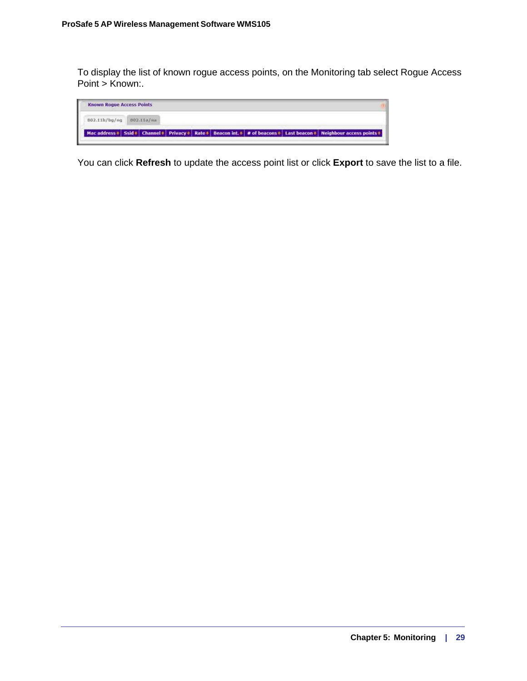To display the list of known rogue access points, on the Monitoring tab select Rogue Access Point > Known:.



You can click **Refresh** to update the access point list or click **Export** to save the list to a file.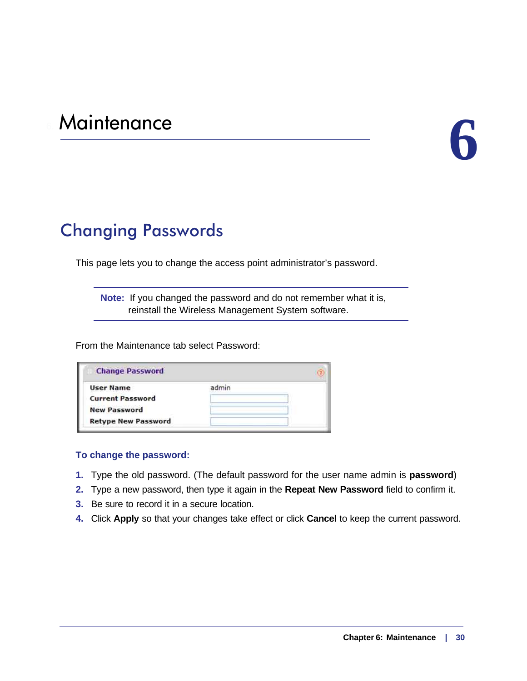# <span id="page-29-0"></span>e Maintenance<br> **6**

### <span id="page-29-2"></span><span id="page-29-1"></span>Changing Passwords

This page lets you to change the access point administrator's password.

**Note:** If you changed the password and do not remember what it is, reinstall the Wireless Management System software.

From the Maintenance tab select Password:

| <b>Change Password</b>     |  |
|----------------------------|--|
| User Name                  |  |
| <b>Current Password</b>    |  |
| <b>New Password</b>        |  |
| <b>Retype New Password</b> |  |

### **To change the password:**

- **1.** Type the old password. (The default password for the user name admin is **password**)
- **2.** Type a new password, then type it again in the **Repeat New Password** field to confirm it.
- **3.** Be sure to record it in a secure location.
- **4.** Click **Apply** so that your changes take effect or click **Cancel** to keep the current password.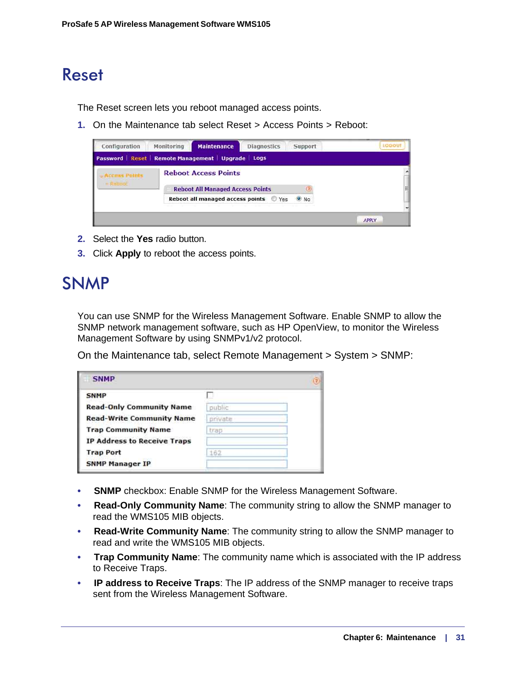### <span id="page-30-2"></span><span id="page-30-0"></span>Reset

The Reset screen lets you reboot managed access points.

**1.** On the Maintenance tab select Reset > Access Points > Reboot:

| Configuration                                 | Monitoring | <b>Maintenance</b>                      | <b>Diagnostics</b> | Support       | LOGOUT       |
|-----------------------------------------------|------------|-----------------------------------------|--------------------|---------------|--------------|
| Password Reset Remote Management Upgrade Logs |            |                                         |                    |               |              |
|                                               |            | <b>Reboot Access Points</b>             |                    |               |              |
|                                               |            | <b>Reboot All Managed Access Points</b> |                    |               | ≣            |
|                                               |            | Reboot all managed access points Ves    |                    | $^{\circ}$ No |              |
|                                               |            |                                         |                    |               |              |
|                                               |            |                                         |                    |               | <b>APPLY</b> |

- **2.** Select the **Yes** radio button.
- **3.** Click **Apply** to reboot the access points.

### <span id="page-30-3"></span><span id="page-30-1"></span>SNMP

You can use SNMP for the Wireless Management Software. Enable SNMP to allow the SNMP network management software, such as HP OpenView, to monitor the Wireless Management Software by using SNMPv1/v2 protocol.

On the Maintenance tab, select Remote Management > System > SNMP:

| <b>SNMP</b>                        |         |  |
|------------------------------------|---------|--|
| <b>SNMP</b>                        |         |  |
| <b>Read-Only Community Name</b>    | public  |  |
| <b>Read-Write Community Name</b>   | private |  |
| <b>Trap Community Name</b>         | trap    |  |
| <b>IP Address to Receive Traps</b> |         |  |
| <b>Trap Port</b>                   |         |  |
| <b>SNMP Manager IP</b>             |         |  |

- **SNMP** checkbox: Enable SNMP for the Wireless Management Software.
- **Read-Only Community Name**: The community string to allow the SNMP manager to read the WMS105 MIB objects.
- **Read-Write Community Name**: The community string to allow the SNMP manager to read and write the WMS105 MIB objects.
- **Trap Community Name**: The community name which is associated with the IP address to Receive Traps.
- **IP address to Receive Traps**: The IP address of the SNMP manager to receive traps sent from the Wireless Management Software.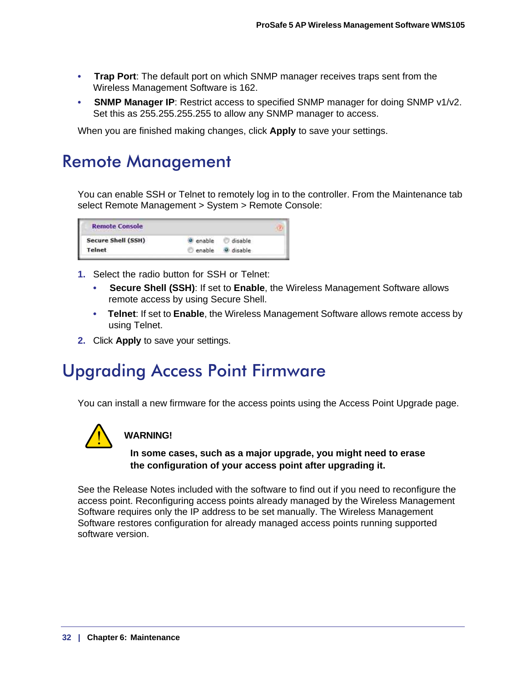- **Trap Port**: The default port on which SNMP manager receives traps sent from the Wireless Management Software is 162.
- **SNMP Manager IP**: Restrict access to specified SNMP manager for doing SNMP v1/v2. Set this as 255.255.255.255 to allow any SNMP manager to access.

When you are finished making changes, click **Apply** to save your settings.

### <span id="page-31-4"></span><span id="page-31-0"></span>Remote Management

<span id="page-31-3"></span>You can enable SSH or Telnet to remotely log in to the controller. From the Maintenance tab select Remote Management > System > Remote Console:

| <b>Remote Console</b>     |        |         |  |
|---------------------------|--------|---------|--|
| <b>Secure Shell (SSH)</b> | enable | disable |  |
| Telnet                    | enable | disable |  |

- **1.** Select the radio button for SSH or Telnet:
	- **Secure Shell (SSH)**: If set to **Enable**, the Wireless Management Software allows remote access by using Secure Shell.
	- **Telnet**: If set to **Enable**, the Wireless Management Software allows remote access by using Telnet.
- **2.** Click **Apply** to save your settings.

### <span id="page-31-2"></span><span id="page-31-1"></span>Upgrading Access Point Firmware

You can install a new firmware for the access points using the Access Point Upgrade page.



### **WARNING!**

### **In some cases, such as a major upgrade, you might need to erase the configuration of your access point after upgrading it.**

See the Release Notes included with the software to find out if you need to reconfigure the access point. Reconfiguring access points already managed by the Wireless Management Software requires only the IP address to be set manually. The Wireless Management Software restores configuration for already managed access points running supported software version.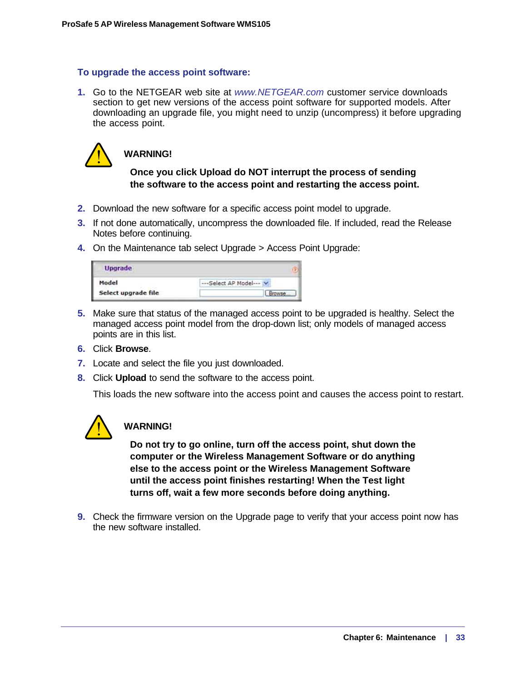### **To upgrade the access point software:**

**1.** Go to the NETGEAR web site at *www.NETGEAR.com* customer service downloads section to get new versions of the access point software for supported models. After downloading an upgrade file, you might need to unzip (uncompress) it before upgrading the access point.



### **WARNING!**

### **Once you click Upload do NOT interrupt the process of sending the software to the access point and restarting the access point.**

- **2.** Download the new software for a specific access point model to upgrade.
- **3.** If not done automatically, uncompress the downloaded file. If included, read the Release Notes before continuing.
- **4.** On the Maintenance tab select Upgrade > Access Point Upgrade:

| <b>Upgrade</b>      |                        |
|---------------------|------------------------|
| Model               | --- Select AP Model--- |
| Select upgrade file | owse                   |

- **5.** Make sure that status of the managed access point to be upgraded is healthy. Select the managed access point model from the drop-down list; only models of managed access points are in this list.
- **6.** Click **Browse**.
- **7.** Locate and select the file you just downloaded.
- **8.** Click **Upload** to send the software to the access point.

This loads the new software into the access point and causes the access point to restart.



### **WARNING!**

**Do not try to go online, turn off the access point, shut down the computer or the Wireless Management Software or do anything else to the access point or the Wireless Management Software until the access point finishes restarting! When the Test light turns off, wait a few more seconds before doing anything.**

**9.** Check the firmware version on the Upgrade page to verify that your access point now has the new software installed.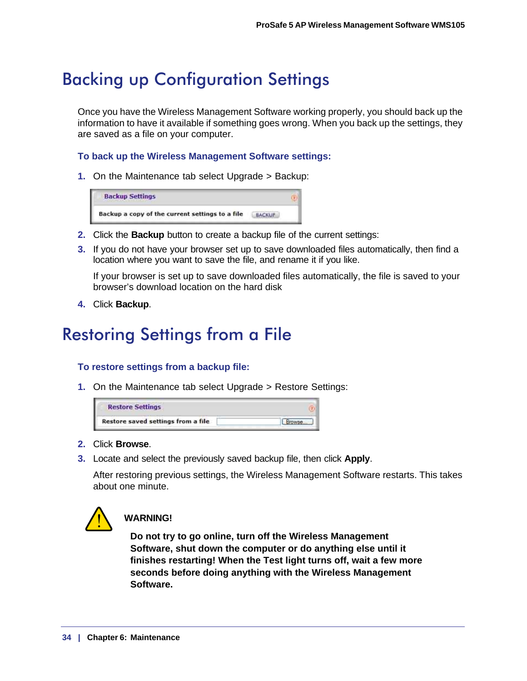### <span id="page-33-2"></span><span id="page-33-0"></span>Backing up Configuration Settings

Once you have the Wireless Management Software working properly, you should back up the information to have it available if something goes wrong. When you back up the settings, they are saved as a file on your computer.

### **To back up the Wireless Management Software settings:**

**1.** On the Maintenance tab select Upgrade > Backup:

| <b>Backup Settings</b>                          |                        |  |
|-------------------------------------------------|------------------------|--|
| Backup a copy of the current settings to a file | <b><i>RACKLIP-</i></b> |  |

- **2.** Click the **Backup** button to create a backup file of the current settings:
- **3.** If you do not have your browser set up to save downloaded files automatically, then find a location where you want to save the file, and rename it if you like.

If your browser is set up to save downloaded files automatically, the file is saved to your browser's download location on the hard disk

**4.** Click **Backup**.

### <span id="page-33-3"></span><span id="page-33-1"></span>Restoring Settings from a File

### **To restore settings from a backup file:**

**1.** On the Maintenance tab select Upgrade > Restore Settings:



- **2.** Click **Browse**.
- **3.** Locate and select the previously saved backup file, then click **Apply**.

After restoring previous settings, the Wireless Management Software restarts. This takes about one minute.



### **WARNING!**

**Do not try to go online, turn off the Wireless Management Software, shut down the computer or do anything else until it finishes restarting! When the Test light turns off, wait a few more seconds before doing anything with the Wireless Management Software.**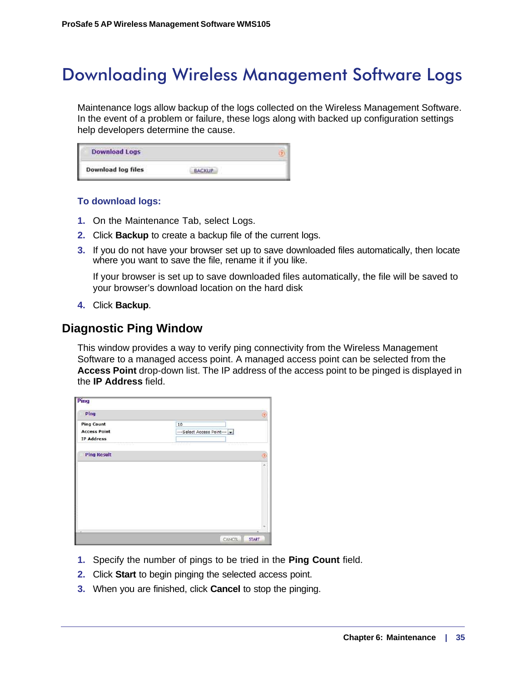### <span id="page-34-0"></span>Downloading Wireless Management Software Logs

<span id="page-34-3"></span>Maintenance logs allow backup of the logs collected on the Wireless Management Software. In the event of a problem or failure, these logs along with backed up configuration settings help developers determine the cause.

| <b>Download Logs</b>      |  |  |
|---------------------------|--|--|
| <b>Download log files</b> |  |  |

### **To download logs:**

- **1.** On the Maintenance Tab, select Logs.
- **2.** Click **Backup** to create a backup file of the current logs.
- **3.** If you do not have your browser set up to save downloaded files automatically, then locate where you want to save the file, rename it if you like.

If your browser is set up to save downloaded files automatically, the file will be saved to your browser's download location on the hard disk

<span id="page-34-2"></span>**4.** Click **Backup**.

### <span id="page-34-1"></span>**Diagnostic Ping Window**

This window provides a way to verify ping connectivity from the Wireless Management Software to a managed access point. A managed access point can be selected from the **Access Point** drop-down list. The IP address of the access point to be pinged is displayed in the **IP Address** field.

| Ping                |                            |              |
|---------------------|----------------------------|--------------|
| Ping                |                            | E)           |
| <b>Ping Count</b>   | 10                         |              |
| <b>Access Point</b> | --- Select Access Point--- |              |
| <b>IP Address</b>   |                            |              |
| <b>Ping Result</b>  |                            |              |
|                     |                            | Q<br>ä       |
|                     |                            |              |
|                     |                            |              |
|                     |                            |              |
|                     |                            |              |
|                     |                            |              |
|                     |                            |              |
|                     |                            |              |
|                     |                            |              |
|                     |                            |              |
|                     |                            | ×            |
|                     | CANCEL                     | <b>START</b> |

- **1.** Specify the number of pings to be tried in the **Ping Count** field.
- **2.** Click **Start** to begin pinging the selected access point.
- **3.** When you are finished, click **Cancel** to stop the pinging.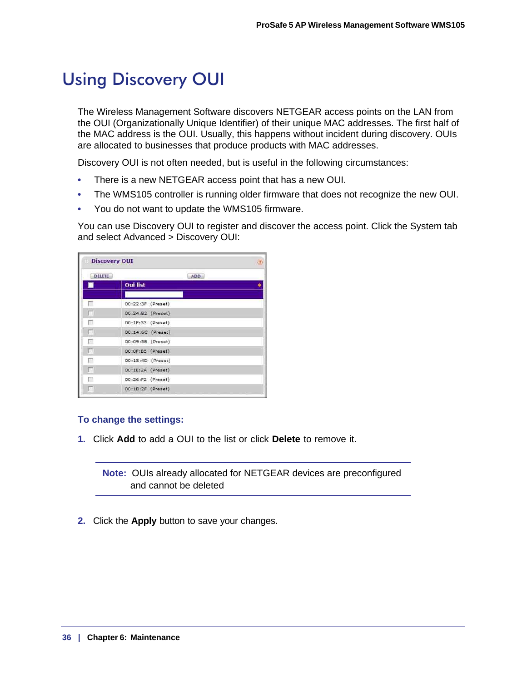### <span id="page-35-2"></span><span id="page-35-1"></span><span id="page-35-0"></span>Using Discovery OUI

The Wireless Management Software discovers NETGEAR access points on the LAN from the OUI (Organizationally Unique Identifier) of their unique MAC addresses. The first half of the MAC address is the OUI. Usually, this happens without incident during discovery. OUIs are allocated to businesses that produce products with MAC addresses.

Discovery OUI is not often needed, but is useful in the following circumstances:

- There is a new NETGEAR access point that has a new OUI.
- The WMS105 controller is running older firmware that does not recognize the new OUI.
- You do not want to update the WMS105 firmware.

You can use Discovery OUI to register and discover the access point. Click the System tab and select Advanced > Discovery OUI:

| <b>Discovery OUI</b> |                     |  |
|----------------------|---------------------|--|
| <b>DELETE</b>        | ADD                 |  |
|                      | <b>Oui</b> list     |  |
| г                    | 00:22:3F (Preset)   |  |
| П                    | 00:24:B2 (Preset)   |  |
| П                    | 00:1F:33 (Preset)   |  |
| г                    | 00:14:6C (Preset)   |  |
| F                    | 00:09:5B (Preset)   |  |
| г                    | 00:0F:B5 (Preset)   |  |
| г                    | 00:18:4D (Preset)   |  |
| г                    | 00:1E:2A (Preset)   |  |
| г                    | 00:26:F2 (Preset)   |  |
| г                    | $00:1B:2F$ (Preset) |  |

### **To change the settings:**

**1.** Click **Add** to add a OUI to the list or click **Delete** to remove it.

**Note:** OUIs already allocated for NETGEAR devices are preconfigured and cannot be deleted

**2.** Click the **Apply** button to save your changes.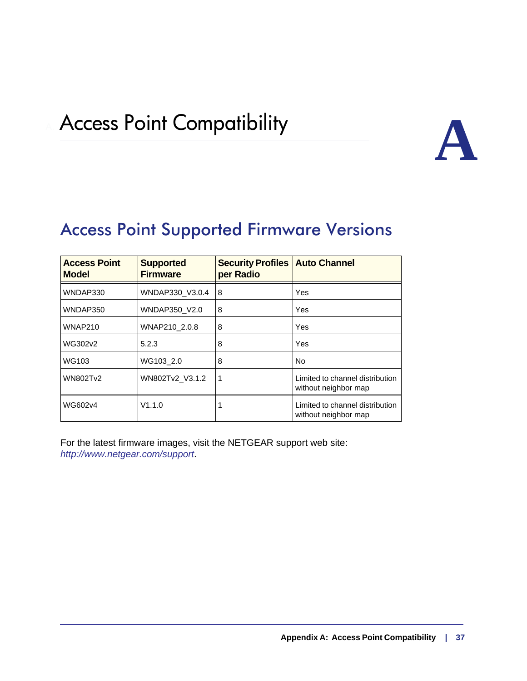### <span id="page-36-2"></span><span id="page-36-0"></span>**Access Point Compatibility**



### <span id="page-36-4"></span><span id="page-36-3"></span><span id="page-36-1"></span>Access Point Supported Firmware Versions

| <b>Access Point</b><br><b>Model</b> | <b>Supported</b><br><b>Firmware</b> | <b>Security Profiles   Auto Channel</b><br>per Radio |                                                         |
|-------------------------------------|-------------------------------------|------------------------------------------------------|---------------------------------------------------------|
| WNDAP330                            | WNDAP330 V3.0.4                     | 8                                                    | Yes                                                     |
| WNDAP350                            | WNDAP350 V2.0                       | 8                                                    | Yes                                                     |
| <b>WNAP210</b>                      | WNAP210 2.0.8                       | 8                                                    | Yes                                                     |
| WG302v2                             | 5.2.3                               | 8                                                    | Yes                                                     |
| WG103                               | WG103 2.0                           | 8                                                    | No                                                      |
| <b>WN802Tv2</b>                     | WN802Tv2 V3.1.2                     | -1                                                   | Limited to channel distribution<br>without neighbor map |
| WG602v4                             | V1.1.0                              |                                                      | Limited to channel distribution<br>without neighbor map |

For the latest firmware images, visit the NETGEAR support web site: *http://www.netgear.com/support*.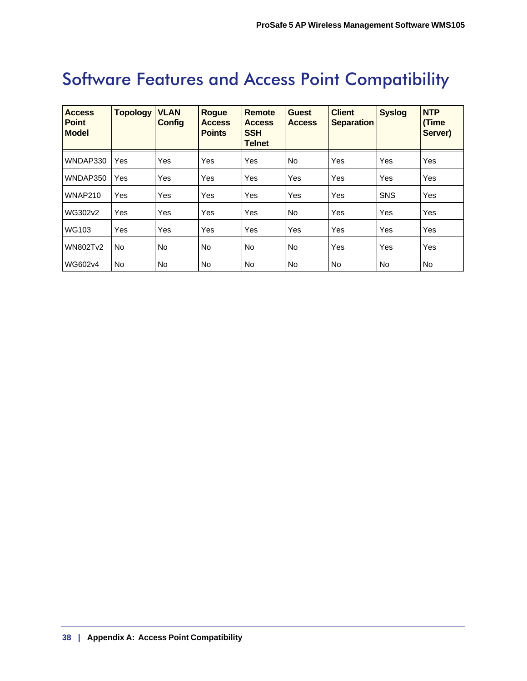### <span id="page-37-0"></span>Software Features and Access Point Compatibility

| <b>Access</b><br><b>Point</b><br><b>Model</b> | <b>Topology</b> | <b>VLAN</b><br><b>Config</b> | <b>Rogue</b><br><b>Access</b><br><b>Points</b> | <b>Remote</b><br><b>Access</b><br><b>SSH</b><br><b>Telnet</b> | <b>Guest</b><br><b>Access</b> | <b>Client</b><br><b>Separation</b> | <b>Syslog</b> | <b>NTP</b><br>(Time<br>Server) |
|-----------------------------------------------|-----------------|------------------------------|------------------------------------------------|---------------------------------------------------------------|-------------------------------|------------------------------------|---------------|--------------------------------|
| WNDAP330                                      | Yes             | Yes                          | Yes                                            | <b>Yes</b>                                                    | <b>No</b>                     | Yes                                | Yes           | Yes                            |
| WNDAP350                                      | Yes             | Yes                          | Yes                                            | <b>Yes</b>                                                    | Yes                           | Yes                                | Yes           | Yes                            |
| <b>WNAP210</b>                                | Yes             | Yes                          | Yes                                            | Yes                                                           | Yes                           | Yes                                | <b>SNS</b>    | Yes                            |
| WG302v2                                       | Yes             | Yes                          | Yes                                            | Yes                                                           | <b>No</b>                     | Yes                                | Yes           | Yes                            |
| WG103                                         | Yes             | Yes                          | Yes                                            | <b>Yes</b>                                                    | Yes                           | Yes                                | Yes           | Yes                            |
| <b>WN802Tv2</b>                               | No              | l No                         | <b>No</b>                                      | <b>No</b>                                                     | <b>No</b>                     | Yes                                | Yes           | Yes                            |
| WG602v4                                       | No.             | <b>No</b>                    | <b>No</b>                                      | <b>No</b>                                                     | <b>No</b>                     | No                                 | No            | No                             |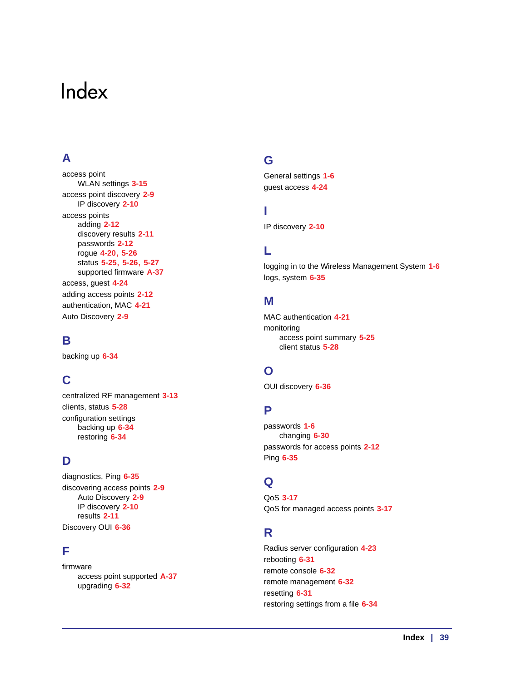### <span id="page-38-0"></span>Index

### **A**

access point WLAN settings **[3-15](#page-14-2)** access point discovery **[2-9](#page-8-2)** IP discovery **[2-10](#page-9-1)** access points adding **[2-12](#page-11-1)** discovery results **[2-11](#page-10-1)** passwords **[2-12](#page-11-2)** rogue **[4-20](#page-19-2)**, **[5-26](#page-25-2)** status **[5-25](#page-24-3)**, **[5-26](#page-25-3)**, **[5-27](#page-26-1)** supported firmware **[A-37](#page-36-4)** access, guest **[4-24](#page-23-1)** adding access points **[2-12](#page-11-1)** authentication, MAC **[4-21](#page-20-1)** Auto Discovery **[2-9](#page-8-3)**

### **B**

backing up **[6-34](#page-33-2)**

### **C**

centralized RF management **[3-13](#page-12-2)** clients, status **[5-28](#page-27-2)** configuration settings backing up **[6-34](#page-33-2)** restoring **[6-34](#page-33-3)**

### **D**

diagnostics, Ping **[6-35](#page-34-2)** discovering access points **[2-9](#page-8-2)** Auto Discovery **[2-9](#page-8-3)** IP discovery **[2-10](#page-9-1)** results **[2-11](#page-10-1)** Discovery OUI **[6-36](#page-35-2)**

### **F**

firmware access point supported **[A-37](#page-36-4)** upgrading **[6-32](#page-31-2)**

### **G**

General settings **[1-6](#page-5-3)** guest access **[4-24](#page-23-1)**

### **I**

IP discovery **[2-10](#page-9-1)**

### **L**

logging in to the Wireless Management System **[1-6](#page-5-4)** logs, system **[6-35](#page-34-3)**

### **M**

MAC authentication **[4-21](#page-20-1)** monitoring access point summary **[5-25](#page-24-4)** client status **[5-28](#page-27-2)**

### **O**

OUI discovery **[6-36](#page-35-2)**

### **P**

passwords **[1-6](#page-5-5)** changing **[6-30](#page-29-2)** passwords for access points **[2-12](#page-11-2)** Ping **[6-35](#page-34-2)**

### **Q**

QoS **[3-17](#page-16-2)** QoS for managed access points **[3-17](#page-16-3)**

### **R**

Radius server configuration **[4-23](#page-22-1)** rebooting **[6-31](#page-30-2)** remote console **[6-32](#page-31-3)** remote management **[6-32](#page-31-4)** resetting **[6-31](#page-30-2)** restoring settings from a file **[6-34](#page-33-3)**